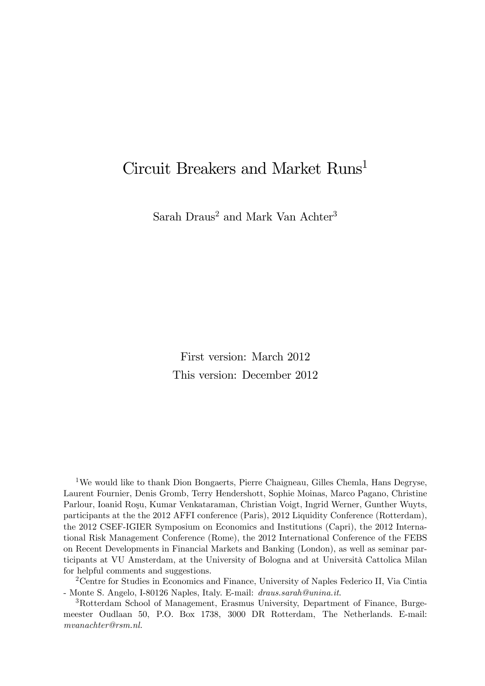# Circuit Breakers and Market Runs<sup>1</sup>

Sarah Draus<sup>2</sup> and Mark Van Achter<sup>3</sup>

First version: March 2012 This version: December 2012

<sup>1</sup>We would like to thank Dion Bongaerts, Pierre Chaigneau, Gilles Chemla, Hans Degryse, Laurent Fournier, Denis Gromb, Terry Hendershott, Sophie Moinas, Marco Pagano, Christine Parlour, Ioanid Roşu, Kumar Venkataraman, Christian Voigt, Ingrid Werner, Gunther Wuyts, participants at the the 2012 AFFI conference (Paris), 2012 Liquidity Conference (Rotterdam), the 2012 CSEF-IGIER Symposium on Economics and Institutions (Capri), the 2012 International Risk Management Conference (Rome), the 2012 International Conference of the FEBS on Recent Developments in Financial Markets and Banking (London), as well as seminar participants at VU Amsterdam, at the University of Bologna and at Università Cattolica Milan for helpful comments and suggestions.

<sup>2</sup>Centre for Studies in Economics and Finance, University of Naples Federico II, Via Cintia - Monte S. Angelo, I-80126 Naples, Italy. E-mail: draus.sarah@unina.it.

<sup>3</sup>Rotterdam School of Management, Erasmus University, Department of Finance, Burgemeester Oudlaan 50, P.O. Box 1738, 3000 DR Rotterdam, The Netherlands. E-mail: mvanachter@rsm.nl.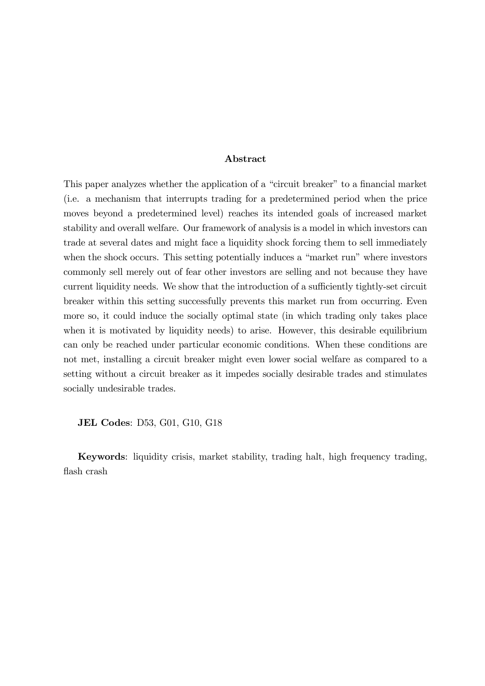### Abstract

This paper analyzes whether the application of a "circuit breaker" to a financial market (i.e. a mechanism that interrupts trading for a predetermined period when the price moves beyond a predetermined level) reaches its intended goals of increased market stability and overall welfare. Our framework of analysis is a model in which investors can trade at several dates and might face a liquidity shock forcing them to sell immediately when the shock occurs. This setting potentially induces a "market run" where investors commonly sell merely out of fear other investors are selling and not because they have current liquidity needs. We show that the introduction of a sufficiently tightly-set circuit breaker within this setting successfully prevents this market run from occurring. Even more so, it could induce the socially optimal state (in which trading only takes place when it is motivated by liquidity needs) to arise. However, this desirable equilibrium can only be reached under particular economic conditions. When these conditions are not met, installing a circuit breaker might even lower social welfare as compared to a setting without a circuit breaker as it impedes socially desirable trades and stimulates socially undesirable trades.

JEL Codes: D53, G01, G10, G18

Keywords: liquidity crisis, market stability, trading halt, high frequency trading, flash crash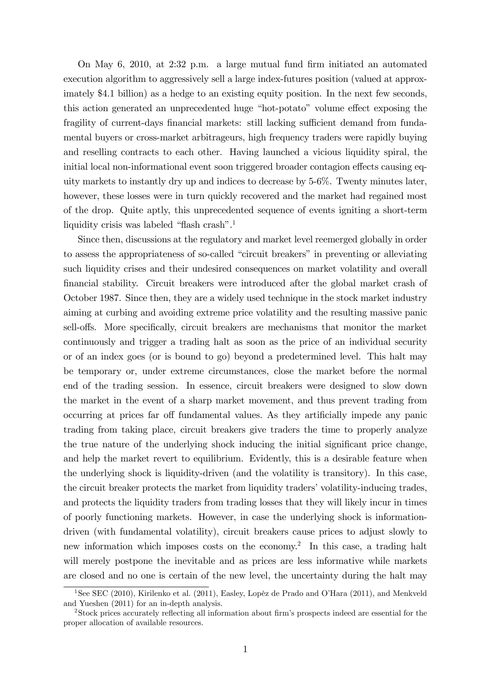On May 6, 2010, at 2:32 p.m. a large mutual fund Örm initiated an automated execution algorithm to aggressively sell a large index-futures position (valued at approximately \$4.1 billion) as a hedge to an existing equity position. In the next few seconds, this action generated an unprecedented huge "hot-potato" volume effect exposing the fragility of current-days financial markets: still lacking sufficient demand from fundamental buyers or cross-market arbitrageurs, high frequency traders were rapidly buying and reselling contracts to each other. Having launched a vicious liquidity spiral, the initial local non-informational event soon triggered broader contagion effects causing equity markets to instantly dry up and indices to decrease by 5-6%. Twenty minutes later, however, these losses were in turn quickly recovered and the market had regained most of the drop. Quite aptly, this unprecedented sequence of events igniting a short-term liquidity crisis was labeled "flash crash".<sup>1</sup>

Since then, discussions at the regulatory and market level reemerged globally in order to assess the appropriateness of so-called "circuit breakers" in preventing or alleviating such liquidity crises and their undesired consequences on market volatility and overall Önancial stability. Circuit breakers were introduced after the global market crash of October 1987. Since then, they are a widely used technique in the stock market industry aiming at curbing and avoiding extreme price volatility and the resulting massive panic sell-offs. More specifically, circuit breakers are mechanisms that monitor the market continuously and trigger a trading halt as soon as the price of an individual security or of an index goes (or is bound to go) beyond a predetermined level. This halt may be temporary or, under extreme circumstances, close the market before the normal end of the trading session. In essence, circuit breakers were designed to slow down the market in the event of a sharp market movement, and thus prevent trading from occurring at prices far off fundamental values. As they artificially impede any panic trading from taking place, circuit breakers give traders the time to properly analyze the true nature of the underlying shock inducing the initial significant price change, and help the market revert to equilibrium. Evidently, this is a desirable feature when the underlying shock is liquidity-driven (and the volatility is transitory). In this case, the circuit breaker protects the market from liquidity tradersívolatility-inducing trades, and protects the liquidity traders from trading losses that they will likely incur in times of poorly functioning markets. However, in case the underlying shock is informationdriven (with fundamental volatility), circuit breakers cause prices to adjust slowly to new information which imposes costs on the economy.<sup>2</sup> In this case, a trading halt will merely postpone the inevitable and as prices are less informative while markets are closed and no one is certain of the new level, the uncertainty during the halt may

<sup>&</sup>lt;sup>1</sup>See SEC (2010), Kirilenko et al. (2011), Easley, Lopèz de Prado and O'Hara (2011), and Menkveld and Yueshen (2011) for an in-depth analysis.

<sup>&</sup>lt;sup>2</sup>Stock prices accurately reflecting all information about firm's prospects indeed are essential for the proper allocation of available resources.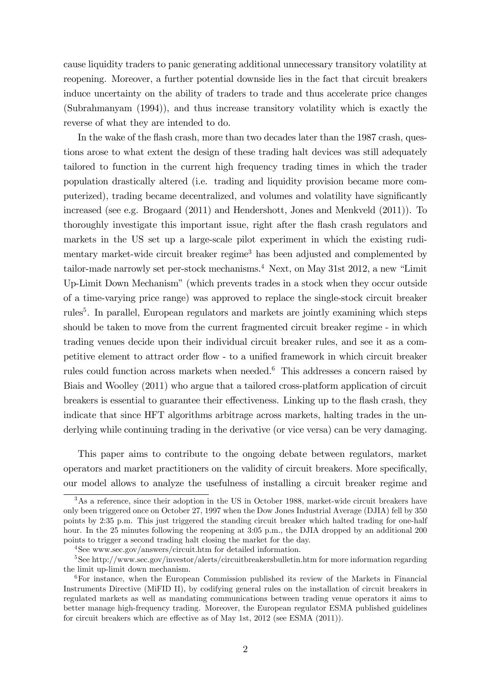cause liquidity traders to panic generating additional unnecessary transitory volatility at reopening. Moreover, a further potential downside lies in the fact that circuit breakers induce uncertainty on the ability of traders to trade and thus accelerate price changes (Subrahmanyam (1994)), and thus increase transitory volatility which is exactly the reverse of what they are intended to do.

In the wake of the flash crash, more than two decades later than the 1987 crash, questions arose to what extent the design of these trading halt devices was still adequately tailored to function in the current high frequency trading times in which the trader population drastically altered (i.e. trading and liquidity provision became more computerized), trading became decentralized, and volumes and volatility have significantly increased (see e.g. Brogaard (2011) and Hendershott, Jones and Menkveld (2011)). To thoroughly investigate this important issue, right after the flash crash regulators and markets in the US set up a large-scale pilot experiment in which the existing rudimentary market-wide circuit breaker regime<sup>3</sup> has been adjusted and complemented by tailor-made narrowly set per-stock mechanisms.<sup>4</sup> Next, on May 31st 2012, a new "Limit" Up-Limit Down Mechanism" (which prevents trades in a stock when they occur outside of a time-varying price range) was approved to replace the single-stock circuit breaker rules<sup>5</sup>. In parallel, European regulators and markets are jointly examining which steps should be taken to move from the current fragmented circuit breaker regime - in which trading venues decide upon their individual circuit breaker rules, and see it as a competitive element to attract order flow - to a unified framework in which circuit breaker rules could function across markets when needed.<sup>6</sup> This addresses a concern raised by Biais and Woolley (2011) who argue that a tailored cross-platform application of circuit breakers is essential to guarantee their effectiveness. Linking up to the flash crash, they indicate that since HFT algorithms arbitrage across markets, halting trades in the underlying while continuing trading in the derivative (or vice versa) can be very damaging.

This paper aims to contribute to the ongoing debate between regulators, market operators and market practitioners on the validity of circuit breakers. More specifically, our model allows to analyze the usefulness of installing a circuit breaker regime and

<sup>&</sup>lt;sup>3</sup>As a reference, since their adoption in the US in October 1988, market-wide circuit breakers have only been triggered once on October 27, 1997 when the Dow Jones Industrial Average (DJIA) fell by 350 points by 2:35 p.m. This just triggered the standing circuit breaker which halted trading for one-half hour. In the 25 minutes following the reopening at 3:05 p.m., the DJIA dropped by an additional 200 points to trigger a second trading halt closing the market for the day.

<sup>4</sup>See www.sec.gov/answers/circuit.htm for detailed information.

<sup>&</sup>lt;sup>5</sup>See http://www.sec.gov/investor/alerts/circuitbreakersbulletin.htm for more information regarding the limit up-limit down mechanism.

<sup>6</sup>For instance, when the European Commission published its review of the Markets in Financial Instruments Directive (MiFID II), by codifying general rules on the installation of circuit breakers in regulated markets as well as mandating communications between trading venue operators it aims to better manage high-frequency trading. Moreover, the European regulator ESMA published guidelines for circuit breakers which are effective as of May 1st,  $2012$  (see ESMA  $(2011)$ ).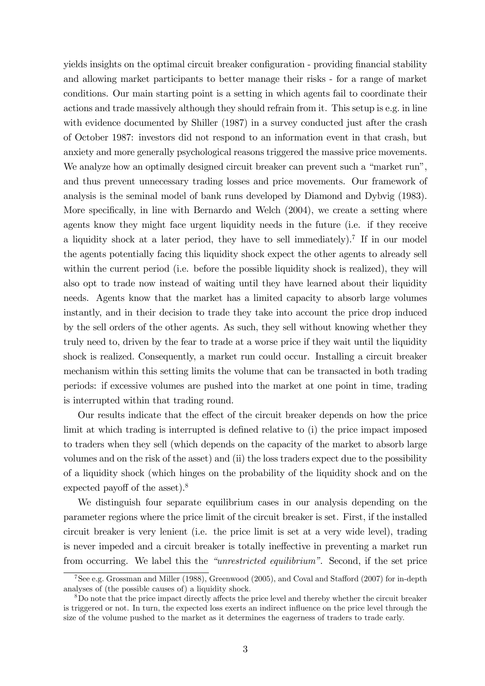yields insights on the optimal circuit breaker configuration - providing financial stability and allowing market participants to better manage their risks - for a range of market conditions. Our main starting point is a setting in which agents fail to coordinate their actions and trade massively although they should refrain from it. This setup is e.g. in line with evidence documented by Shiller (1987) in a survey conducted just after the crash of October 1987: investors did not respond to an information event in that crash, but anxiety and more generally psychological reasons triggered the massive price movements. We analyze how an optimally designed circuit breaker can prevent such a "market run", and thus prevent unnecessary trading losses and price movements. Our framework of analysis is the seminal model of bank runs developed by Diamond and Dybvig (1983). More specifically, in line with Bernardo and Welch (2004), we create a setting where agents know they might face urgent liquidity needs in the future (i.e. if they receive a liquidity shock at a later period, they have to sell immediately).<sup>7</sup> If in our model the agents potentially facing this liquidity shock expect the other agents to already sell within the current period (i.e. before the possible liquidity shock is realized), they will also opt to trade now instead of waiting until they have learned about their liquidity needs. Agents know that the market has a limited capacity to absorb large volumes instantly, and in their decision to trade they take into account the price drop induced by the sell orders of the other agents. As such, they sell without knowing whether they truly need to, driven by the fear to trade at a worse price if they wait until the liquidity shock is realized. Consequently, a market run could occur. Installing a circuit breaker mechanism within this setting limits the volume that can be transacted in both trading periods: if excessive volumes are pushed into the market at one point in time, trading is interrupted within that trading round.

Our results indicate that the effect of the circuit breaker depends on how the price limit at which trading is interrupted is defined relative to (i) the price impact imposed to traders when they sell (which depends on the capacity of the market to absorb large volumes and on the risk of the asset) and (ii) the loss traders expect due to the possibility of a liquidity shock (which hinges on the probability of the liquidity shock and on the expected payoff of the asset).<sup>8</sup>

We distinguish four separate equilibrium cases in our analysis depending on the parameter regions where the price limit of the circuit breaker is set. First, if the installed circuit breaker is very lenient (i.e. the price limit is set at a very wide level), trading is never impeded and a circuit breaker is totally ineffective in preventing a market run from occurring. We label this the "unrestricted equilibrium". Second, if the set price

 $7$ See e.g. Grossman and Miller (1988), Greenwood (2005), and Coval and Stafford (2007) for in-depth analyses of (the possible causes of) a liquidity shock.

 $8D<sub>0</sub>$  note that the price impact directly affects the price level and thereby whether the circuit breaker is triggered or not. In turn, the expected loss exerts an indirect influence on the price level through the size of the volume pushed to the market as it determines the eagerness of traders to trade early.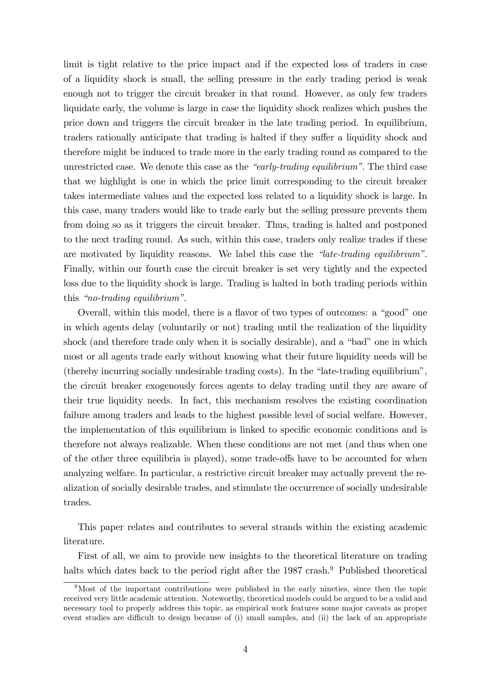limit is tight relative to the price impact and if the expected loss of traders in case of a liquidity shock is small, the selling pressure in the early trading period is weak enough not to trigger the circuit breaker in that round. However, as only few traders liquidate early, the volume is large in case the liquidity shock realizes which pushes the price down and triggers the circuit breaker in the late trading period. In equilibrium, traders rationally anticipate that trading is halted if they suffer a liquidity shock and therefore might be induced to trade more in the early trading round as compared to the unrestricted case. We denote this case as the  $\degree$ early-trading equilibrium". The third case that we highlight is one in which the price limit corresponding to the circuit breaker takes intermediate values and the expected loss related to a liquidity shock is large. In this case, many traders would like to trade early but the selling pressure prevents them from doing so as it triggers the circuit breaker. Thus, trading is halted and postponed to the next trading round. As such, within this case, traders only realize trades if these are motivated by liquidity reasons. We label this case the  $\hat{i}$ late-trading equilibrium". Finally, within our fourth case the circuit breaker is set very tightly and the expected loss due to the liquidity shock is large. Trading is halted in both trading periods within this "no-trading equilibrium".

Overall, within this model, there is a flavor of two types of outcomes: a "good" one in which agents delay (voluntarily or not) trading until the realization of the liquidity shock (and therefore trade only when it is socially desirable), and a "bad" one in which most or all agents trade early without knowing what their future liquidity needs will be (thereby incurring socially undesirable trading costs). In the "late-trading equilibrium", the circuit breaker exogenously forces agents to delay trading until they are aware of their true liquidity needs. In fact, this mechanism resolves the existing coordination failure among traders and leads to the highest possible level of social welfare. However, the implementation of this equilibrium is linked to specific economic conditions and is therefore not always realizable. When these conditions are not met (and thus when one of the other three equilibria is played), some trade-offs have to be accounted for when analyzing welfare. In particular, a restrictive circuit breaker may actually prevent the realization of socially desirable trades, and stimulate the occurrence of socially undesirable trades.

This paper relates and contributes to several strands within the existing academic literature.

First of all, we aim to provide new insights to the theoretical literature on trading halts which dates back to the period right after the 1987 crash.<sup>9</sup> Published theoretical

<sup>9</sup>Most of the important contributions were published in the early nineties, since then the topic received very little academic attention. Noteworthy, theoretical models could be argued to be a valid and necessary tool to properly address this topic, as empirical work features some major caveats as proper event studies are difficult to design because of (i) small samples, and (ii) the lack of an appropriate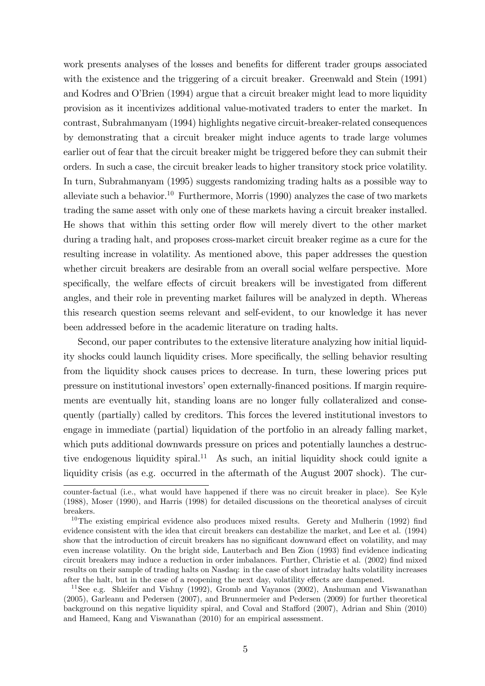work presents analyses of the losses and benefits for different trader groups associated with the existence and the triggering of a circuit breaker. Greenwald and Stein (1991) and Kodres and O'Brien (1994) argue that a circuit breaker might lead to more liquidity provision as it incentivizes additional value-motivated traders to enter the market. In contrast, Subrahmanyam (1994) highlights negative circuit-breaker-related consequences by demonstrating that a circuit breaker might induce agents to trade large volumes earlier out of fear that the circuit breaker might be triggered before they can submit their orders. In such a case, the circuit breaker leads to higher transitory stock price volatility. In turn, Subrahmanyam (1995) suggests randomizing trading halts as a possible way to alleviate such a behavior.<sup>10</sup> Furthermore, Morris (1990) analyzes the case of two markets trading the same asset with only one of these markets having a circuit breaker installed. He shows that within this setting order áow will merely divert to the other market during a trading halt, and proposes cross-market circuit breaker regime as a cure for the resulting increase in volatility. As mentioned above, this paper addresses the question whether circuit breakers are desirable from an overall social welfare perspective. More specifically, the welfare effects of circuit breakers will be investigated from different angles, and their role in preventing market failures will be analyzed in depth. Whereas this research question seems relevant and self-evident, to our knowledge it has never been addressed before in the academic literature on trading halts.

Second, our paper contributes to the extensive literature analyzing how initial liquidity shocks could launch liquidity crises. More specifically, the selling behavior resulting from the liquidity shock causes prices to decrease. In turn, these lowering prices put pressure on institutional investorsíopen externally-Önanced positions. If margin requirements are eventually hit, standing loans are no longer fully collateralized and consequently (partially) called by creditors. This forces the levered institutional investors to engage in immediate (partial) liquidation of the portfolio in an already falling market, which puts additional downwards pressure on prices and potentially launches a destructive endogenous liquidity spiral.<sup>11</sup> As such, an initial liquidity shock could ignite a liquidity crisis (as e.g. occurred in the aftermath of the August 2007 shock). The cur-

counter-factual (i.e., what would have happened if there was no circuit breaker in place). See Kyle (1988), Moser (1990), and Harris (1998) for detailed discussions on the theoretical analyses of circuit breakers.

<sup>&</sup>lt;sup>10</sup>The existing empirical evidence also produces mixed results. Gerety and Mulherin (1992) find evidence consistent with the idea that circuit breakers can destabilize the market, and Lee et al. (1994) show that the introduction of circuit breakers has no significant downward effect on volatility, and may even increase volatility. On the bright side, Lauterbach and Ben Zion (1993) find evidence indicating circuit breakers may induce a reduction in order imbalances. Further, Christie et al. (2002) find mixed results on their sample of trading halts on Nasdaq: in the case of short intraday halts volatility increases after the halt, but in the case of a reopening the next day, volatility effects are dampened.

<sup>&</sup>lt;sup>11</sup>See e.g. Shleifer and Vishny (1992), Gromb and Vayanos (2002), Anshuman and Viswanathan (2005), Garleanu and Pedersen (2007), and Brunnermeier and Pedersen (2009) for further theoretical background on this negative liquidity spiral, and Coval and Stafford (2007), Adrian and Shin (2010) and Hameed, Kang and Viswanathan (2010) for an empirical assessment.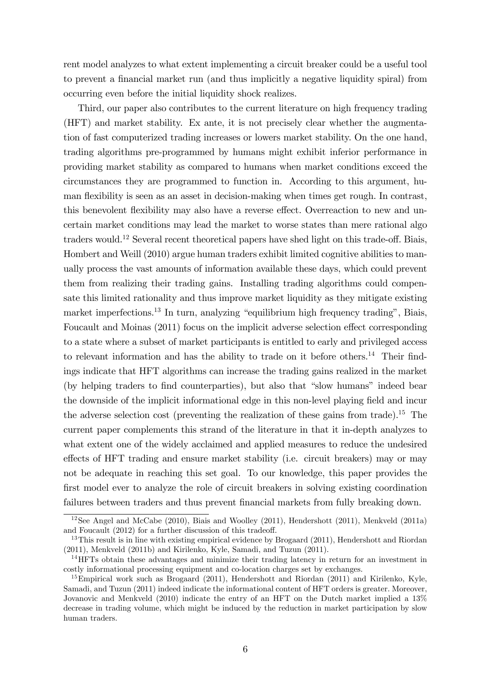rent model analyzes to what extent implementing a circuit breaker could be a useful tool to prevent a Önancial market run (and thus implicitly a negative liquidity spiral) from occurring even before the initial liquidity shock realizes.

Third, our paper also contributes to the current literature on high frequency trading (HFT) and market stability. Ex ante, it is not precisely clear whether the augmentation of fast computerized trading increases or lowers market stability. On the one hand, trading algorithms pre-programmed by humans might exhibit inferior performance in providing market stability as compared to humans when market conditions exceed the circumstances they are programmed to function in. According to this argument, human flexibility is seen as an asset in decision-making when times get rough. In contrast, this benevolent flexibility may also have a reverse effect. Overreaction to new and uncertain market conditions may lead the market to worse states than mere rational algo traders would.<sup>12</sup> Several recent theoretical papers have shed light on this trade-off. Biais, Hombert and Weill (2010) argue human traders exhibit limited cognitive abilities to manually process the vast amounts of information available these days, which could prevent them from realizing their trading gains. Installing trading algorithms could compensate this limited rationality and thus improve market liquidity as they mitigate existing market imperfections.<sup>13</sup> In turn, analyzing "equilibrium high frequency trading", Biais, Foucault and Moinas  $(2011)$  focus on the implicit adverse selection effect corresponding to a state where a subset of market participants is entitled to early and privileged access to relevant information and has the ability to trade on it before others.<sup>14</sup> Their findings indicate that HFT algorithms can increase the trading gains realized in the market (by helping traders to find counterparties), but also that "slow humans" indeed bear the downside of the implicit informational edge in this non-level playing field and incur the adverse selection cost (preventing the realization of these gains from trade).<sup>15</sup> The current paper complements this strand of the literature in that it in-depth analyzes to what extent one of the widely acclaimed and applied measures to reduce the undesired effects of HFT trading and ensure market stability (i.e. circuit breakers) may or may not be adequate in reaching this set goal. To our knowledge, this paper provides the first model ever to analyze the role of circuit breakers in solving existing coordination failures between traders and thus prevent financial markets from fully breaking down.

<sup>&</sup>lt;sup>12</sup>See Angel and McCabe (2010), Biais and Woolley (2011), Hendershott (2011), Menkveld (2011a) and Foucault  $(2012)$  for a further discussion of this tradeoff.

<sup>&</sup>lt;sup>13</sup>This result is in line with existing empirical evidence by Brogaard  $(2011)$ , Hendershott and Riordan (2011), Menkveld (2011b) and Kirilenko, Kyle, Samadi, and Tuzun (2011).

 $14$ HFTs obtain these advantages and minimize their trading latency in return for an investment in costly informational processing equipment and co-location charges set by exchanges.

<sup>&</sup>lt;sup>15</sup>Empirical work such as Brogaard (2011), Hendershott and Riordan (2011) and Kirilenko, Kyle, Samadi, and Tuzun (2011) indeed indicate the informational content of HFT orders is greater. Moreover, Jovanovic and Menkveld (2010) indicate the entry of an HFT on the Dutch market implied a 13% decrease in trading volume, which might be induced by the reduction in market participation by slow human traders.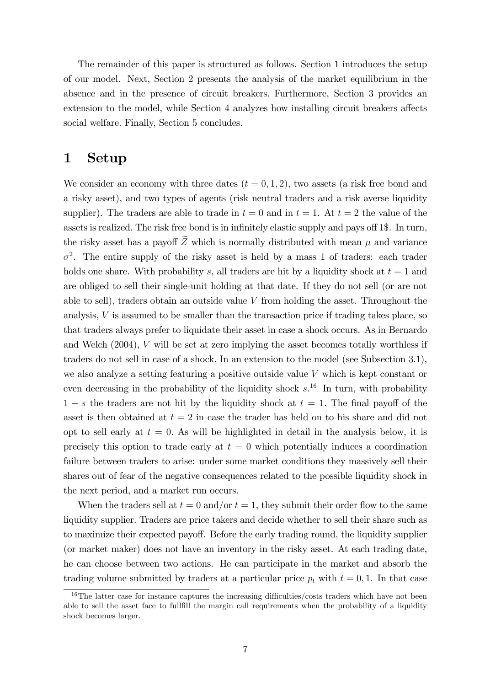The remainder of this paper is structured as follows. Section 1 introduces the setup of our model. Next, Section 2 presents the analysis of the market equilibrium in the absence and in the presence of circuit breakers. Furthermore, Section 3 provides an extension to the model, while Section 4 analyzes how installing circuit breakers affects social welfare. Finally, Section 5 concludes.

### 1 Setup

We consider an economy with three dates  $(t = 0, 1, 2)$ , two assets (a risk free bond and a risky asset), and two types of agents (risk neutral traders and a risk averse liquidity supplier). The traders are able to trade in  $t = 0$  and in  $t = 1$ . At  $t = 2$  the value of the assets is realized. The risk free bond is in infinitely elastic supply and pays off 1\$. In turn, the risky asset has a payoff  $\widetilde{Z}$  which is normally distributed with mean  $\mu$  and variance  $\sigma^2$ . The entire supply of the risky asset is held by a mass 1 of traders: each trader holds one share. With probability s, all traders are hit by a liquidity shock at  $t = 1$  and are obliged to sell their single-unit holding at that date. If they do not sell (or are not able to sell), traders obtain an outside value  $V$  from holding the asset. Throughout the analysis,  $V$  is assumed to be smaller than the transaction price if trading takes place, so that traders always prefer to liquidate their asset in case a shock occurs. As in Bernardo and Welch (2004), V will be set at zero implying the asset becomes totally worthless if traders do not sell in case of a shock. In an extension to the model (see Subsection 3.1), we also analyze a setting featuring a positive outside value V which is kept constant or even decreasing in the probability of the liquidity shock  $s^{16}$ . In turn, with probability  $1 - s$  the traders are not hit by the liquidity shock at  $t = 1$ . The final payoff of the asset is then obtained at  $t = 2$  in case the trader has held on to his share and did not opt to sell early at  $t = 0$ . As will be highlighted in detail in the analysis below, it is precisely this option to trade early at  $t = 0$  which potentially induces a coordination failure between traders to arise: under some market conditions they massively sell their shares out of fear of the negative consequences related to the possible liquidity shock in the next period, and a market run occurs.

When the traders sell at  $t = 0$  and/or  $t = 1$ , they submit their order flow to the same liquidity supplier. Traders are price takers and decide whether to sell their share such as to maximize their expected payoff. Before the early trading round, the liquidity supplier (or market maker) does not have an inventory in the risky asset. At each trading date, he can choose between two actions. He can participate in the market and absorb the trading volume submitted by traders at a particular price  $p_t$  with  $t = 0, 1$ . In that case

 $16$ The latter case for instance captures the increasing difficulties/costs traders which have not been able to sell the asset face to fullfill the margin call requirements when the probability of a liquidity shock becomes larger.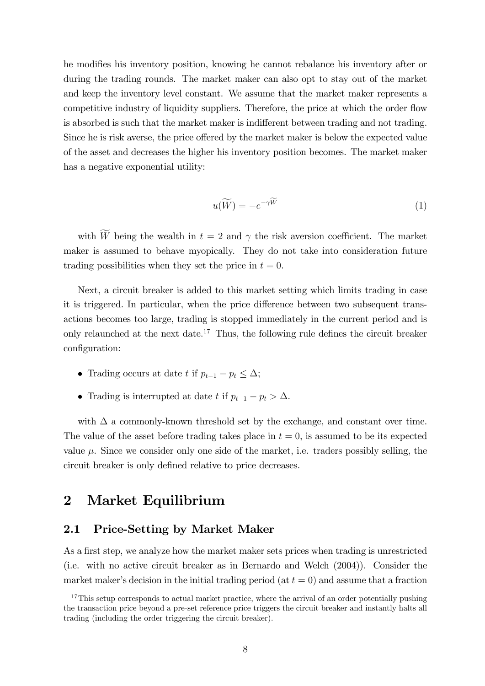he modifies his inventory position, knowing he cannot rebalance his inventory after or during the trading rounds. The market maker can also opt to stay out of the market and keep the inventory level constant. We assume that the market maker represents a competitive industry of liquidity suppliers. Therefore, the price at which the order flow is absorbed is such that the market maker is indifferent between trading and not trading. Since he is risk averse, the price offered by the market maker is below the expected value of the asset and decreases the higher his inventory position becomes. The market maker has a negative exponential utility:

$$
u(\widetilde{W}) = -e^{-\gamma \widetilde{W}} \tag{1}
$$

with  $\widetilde{W}$  being the wealth in  $t = 2$  and  $\gamma$  the risk aversion coefficient. The market maker is assumed to behave myopically. They do not take into consideration future trading possibilities when they set the price in  $t = 0$ .

Next, a circuit breaker is added to this market setting which limits trading in case it is triggered. In particular, when the price difference between two subsequent transactions becomes too large, trading is stopped immediately in the current period and is only relaunched at the next date.<sup>17</sup> Thus, the following rule defines the circuit breaker configuration:

- Trading occurs at date t if  $p_{t-1} p_t \leq \Delta$ ;
- Trading is interrupted at date t if  $p_{t-1} p_t > \Delta$ .

with  $\Delta$  a commonly-known threshold set by the exchange, and constant over time. The value of the asset before trading takes place in  $t = 0$ , is assumed to be its expected value  $\mu$ . Since we consider only one side of the market, i.e. traders possibly selling, the circuit breaker is only defined relative to price decreases.

## 2 Market Equilibrium

### 2.1 Price-Setting by Market Maker

As a first step, we analyze how the market maker sets prices when trading is unrestricted (i.e. with no active circuit breaker as in Bernardo and Welch (2004)). Consider the market maker's decision in the initial trading period (at  $t = 0$ ) and assume that a fraction

<sup>&</sup>lt;sup>17</sup>This setup corresponds to actual market practice, where the arrival of an order potentially pushing the transaction price beyond a pre-set reference price triggers the circuit breaker and instantly halts all trading (including the order triggering the circuit breaker).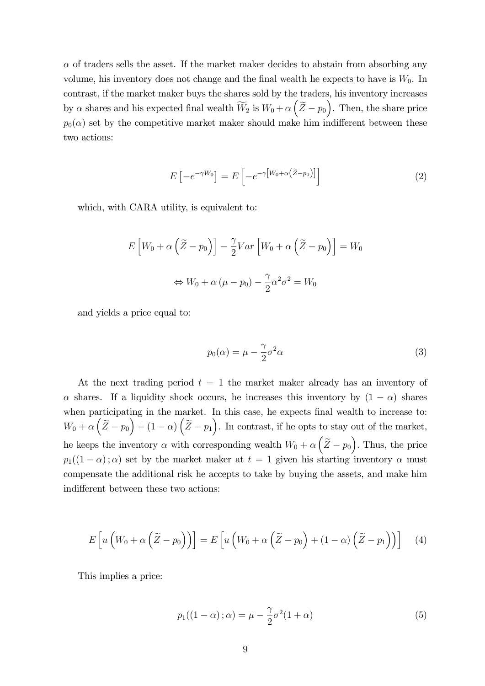$\alpha$  of traders sells the asset. If the market maker decides to abstain from absorbing any volume, his inventory does not change and the final wealth he expects to have is  $W_0$ . In contrast, if the market maker buys the shares sold by the traders, his inventory increases by  $\alpha$  shares and his expected final wealth  $\widetilde{W}_2$  is  $W_0 + \alpha \left(\widetilde{Z} - p_0\right)$ . Then, the share price  $p_0(\alpha)$  set by the competitive market maker should make him indifferent between these two actions:

$$
E\left[-e^{-\gamma W_0}\right] = E\left[-e^{-\gamma\left[W_0 + \alpha\left(\tilde{Z} - p_0\right)\right]}\right]
$$
\n(2)

which, with CARA utility, is equivalent to:

$$
E\left[W_0 + \alpha \left(\tilde{Z} - p_0\right)\right] - \frac{\gamma}{2} Var\left[W_0 + \alpha \left(\tilde{Z} - p_0\right)\right] = W_0
$$

$$
\Leftrightarrow W_0 + \alpha \left(\mu - p_0\right) - \frac{\gamma}{2} \alpha^2 \sigma^2 = W_0
$$

and yields a price equal to:

$$
p_0(\alpha) = \mu - \frac{\gamma}{2}\sigma^2 \alpha \tag{3}
$$

At the next trading period  $t = 1$  the market maker already has an inventory of  $\alpha$  shares. If a liquidity shock occurs, he increases this inventory by  $(1 - \alpha)$  shares when participating in the market. In this case, he expects final wealth to increase to:  $W_0 + \alpha \left(\tilde{Z} - p_0\right) + (1 - \alpha) \left(\tilde{Z} - p_1\right)$ . In contrast, if he opts to stay out of the market, he keeps the inventory  $\alpha$  with corresponding wealth  $W_0 + \alpha \left(\tilde{Z} - p_0\right)$ . Thus, the price  $p_1((1 - \alpha); \alpha)$  set by the market maker at  $t = 1$  given his starting inventory  $\alpha$  must compensate the additional risk he accepts to take by buying the assets, and make him indifferent between these two actions:

$$
E\left[u\left(W_0+\alpha\left(\widetilde{Z}-p_0\right)\right)\right]=E\left[u\left(W_0+\alpha\left(\widetilde{Z}-p_0\right)+(1-\alpha)\left(\widetilde{Z}-p_1\right)\right)\right]
$$
 (4)

This implies a price:

$$
p_1((1-\alpha);\alpha) = \mu - \frac{\gamma}{2}\sigma^2(1+\alpha)
$$
\n(5)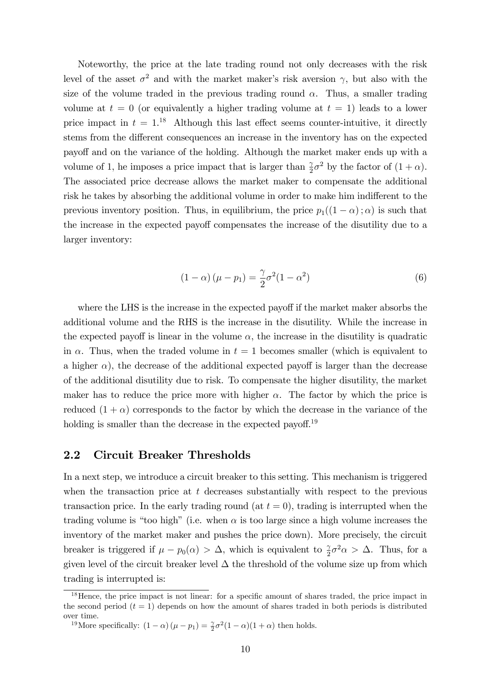Noteworthy, the price at the late trading round not only decreases with the risk level of the asset  $\sigma^2$  and with the market maker's risk aversion  $\gamma$ , but also with the size of the volume traded in the previous trading round  $\alpha$ . Thus, a smaller trading volume at  $t = 0$  (or equivalently a higher trading volume at  $t = 1$ ) leads to a lower price impact in  $t = 1$ .<sup>18</sup> Although this last effect seems counter-intuitive, it directly stems from the different consequences an increase in the inventory has on the expected payo§ and on the variance of the holding. Although the market maker ends up with a volume of 1, he imposes a price impact that is larger than  $\frac{\gamma}{2}\sigma^2$  by the factor of  $(1+\alpha)$ . The associated price decrease allows the market maker to compensate the additional risk he takes by absorbing the additional volume in order to make him indifferent to the previous inventory position. Thus, in equilibrium, the price  $p_1((1 - \alpha); \alpha)$  is such that the increase in the expected payoff compensates the increase of the disutility due to a larger inventory:

$$
(1 - \alpha)\left(\mu - p_1\right) = \frac{\gamma}{2}\sigma^2(1 - \alpha^2)
$$
\n(6)

where the LHS is the increase in the expected payoff if the market maker absorbs the additional volume and the RHS is the increase in the disutility. While the increase in the expected payoff is linear in the volume  $\alpha$ , the increase in the disutility is quadratic in  $\alpha$ . Thus, when the traded volume in  $t = 1$  becomes smaller (which is equivalent to a higher  $\alpha$ ), the decrease of the additional expected payoff is larger than the decrease of the additional disutility due to risk. To compensate the higher disutility, the market maker has to reduce the price more with higher  $\alpha$ . The factor by which the price is reduced  $(1 + \alpha)$  corresponds to the factor by which the decrease in the variance of the holding is smaller than the decrease in the expected payoff.<sup>19</sup>

### 2.2 Circuit Breaker Thresholds

In a next step, we introduce a circuit breaker to this setting. This mechanism is triggered when the transaction price at  $t$  decreases substantially with respect to the previous transaction price. In the early trading round (at  $t = 0$ ), trading is interrupted when the trading volume is "too high" (i.e. when  $\alpha$  is too large since a high volume increases the inventory of the market maker and pushes the price down). More precisely, the circuit breaker is triggered if  $\mu - p_0(\alpha) > \Delta$ , which is equivalent to  $\frac{\gamma}{2}\sigma^2 \alpha > \Delta$ . Thus, for a given level of the circuit breaker level  $\Delta$  the threshold of the volume size up from which trading is interrupted is:

<sup>&</sup>lt;sup>18</sup>Hence, the price impact is not linear: for a specific amount of shares traded, the price impact in the second period  $(t = 1)$  depends on how the amount of shares traded in both periods is distributed over time.

<sup>&</sup>lt;sup>19</sup>More specifically:  $(1 - \alpha)(\mu - p_1) = \frac{\gamma}{2}\sigma^2(1 - \alpha)(1 + \alpha)$  then holds.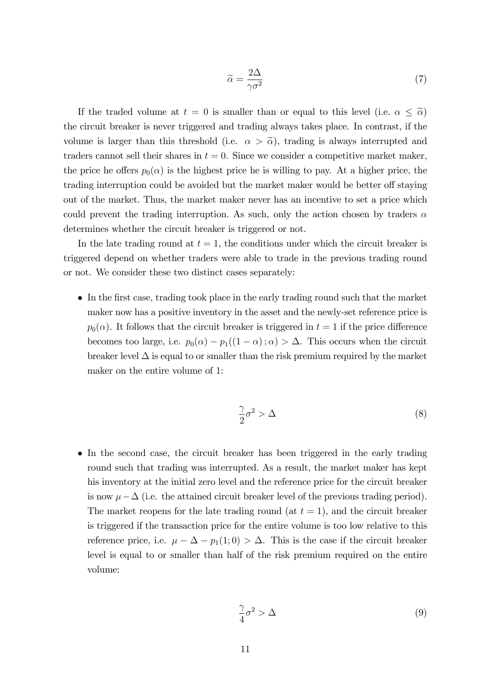$$
\widetilde{\alpha} = \frac{2\Delta}{\gamma \sigma^2} \tag{7}
$$

If the traded volume at  $t = 0$  is smaller than or equal to this level (i.e.  $\alpha \leq \tilde{\alpha}$ ) the circuit breaker is never triggered and trading always takes place. In contrast, if the volume is larger than this threshold (i.e.  $\alpha > \tilde{\alpha}$ ), trading is always interrupted and traders cannot sell their shares in  $t = 0$ . Since we consider a competitive market maker, the price he offers  $p_0(\alpha)$  is the highest price he is willing to pay. At a higher price, the trading interruption could be avoided but the market maker would be better off staying out of the market. Thus, the market maker never has an incentive to set a price which could prevent the trading interruption. As such, only the action chosen by traders  $\alpha$ determines whether the circuit breaker is triggered or not.

In the late trading round at  $t = 1$ , the conditions under which the circuit breaker is triggered depend on whether traders were able to trade in the previous trading round or not. We consider these two distinct cases separately:

 In the Örst case, trading took place in the early trading round such that the market maker now has a positive inventory in the asset and the newly-set reference price is  $p_0(\alpha)$ . It follows that the circuit breaker is triggered in  $t = 1$  if the price difference becomes too large, i.e.  $p_0(\alpha) - p_1((1 - \alpha); \alpha) > \Delta$ . This occurs when the circuit breaker level  $\Delta$  is equal to or smaller than the risk premium required by the market maker on the entire volume of 1:

$$
\frac{\gamma}{2}\sigma^2 > \Delta\tag{8}
$$

 In the second case, the circuit breaker has been triggered in the early trading round such that trading was interrupted. As a result, the market maker has kept his inventory at the initial zero level and the reference price for the circuit breaker is now  $\mu - \Delta$  (i.e. the attained circuit breaker level of the previous trading period). The market reopens for the late trading round (at  $t = 1$ ), and the circuit breaker is triggered if the transaction price for the entire volume is too low relative to this reference price, i.e.  $\mu - \Delta - p_1(1; 0) > \Delta$ . This is the case if the circuit breaker level is equal to or smaller than half of the risk premium required on the entire volume:

$$
\frac{\gamma}{4}\sigma^2 > \Delta\tag{9}
$$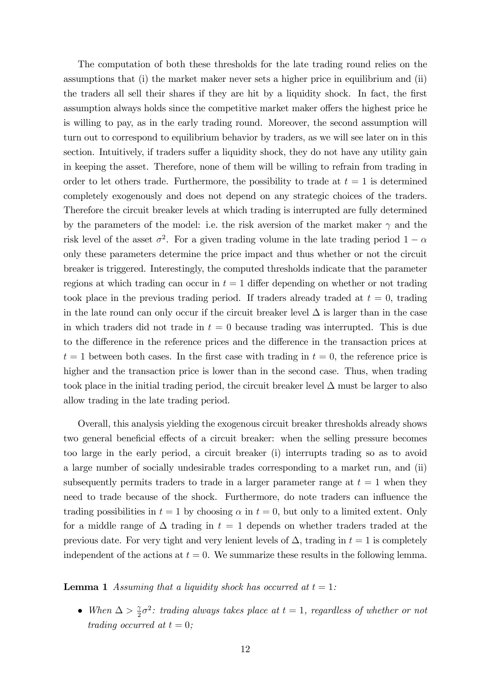The computation of both these thresholds for the late trading round relies on the assumptions that (i) the market maker never sets a higher price in equilibrium and (ii) the traders all sell their shares if they are hit by a liquidity shock. In fact, the first assumption always holds since the competitive market maker offers the highest price he is willing to pay, as in the early trading round. Moreover, the second assumption will turn out to correspond to equilibrium behavior by traders, as we will see later on in this section. Intuitively, if traders suffer a liquidity shock, they do not have any utility gain in keeping the asset. Therefore, none of them will be willing to refrain from trading in order to let others trade. Furthermore, the possibility to trade at  $t = 1$  is determined completely exogenously and does not depend on any strategic choices of the traders. Therefore the circuit breaker levels at which trading is interrupted are fully determined by the parameters of the model: i.e. the risk aversion of the market maker  $\gamma$  and the risk level of the asset  $\sigma^2$ . For a given trading volume in the late trading period  $1-\alpha$ only these parameters determine the price impact and thus whether or not the circuit breaker is triggered. Interestingly, the computed thresholds indicate that the parameter regions at which trading can occur in  $t = 1$  differ depending on whether or not trading took place in the previous trading period. If traders already traded at  $t = 0$ , trading in the late round can only occur if the circuit breaker level  $\Delta$  is larger than in the case in which traders did not trade in  $t = 0$  because trading was interrupted. This is due to the difference in the reference prices and the difference in the transaction prices at  $t = 1$  between both cases. In the first case with trading in  $t = 0$ , the reference price is higher and the transaction price is lower than in the second case. Thus, when trading took place in the initial trading period, the circuit breaker level  $\Delta$  must be larger to also allow trading in the late trading period.

Overall, this analysis yielding the exogenous circuit breaker thresholds already shows two general beneficial effects of a circuit breaker: when the selling pressure becomes too large in the early period, a circuit breaker (i) interrupts trading so as to avoid a large number of socially undesirable trades corresponding to a market run, and (ii) subsequently permits traders to trade in a larger parameter range at  $t = 1$  when they need to trade because of the shock. Furthermore, do note traders can influence the trading possibilities in  $t = 1$  by choosing  $\alpha$  in  $t = 0$ , but only to a limited extent. Only for a middle range of  $\Delta$  trading in  $t = 1$  depends on whether traders traded at the previous date. For very tight and very lenient levels of  $\Delta$ , trading in  $t = 1$  is completely independent of the actions at  $t = 0$ . We summarize these results in the following lemma.

**Lemma 1** Assuming that a liquidity shock has occurred at  $t = 1$ :

• When  $\Delta > \frac{2}{2}$  $\frac{\gamma}{2}\sigma^2$ : trading always takes place at  $t=1$ , regardless of whether or not trading occurred at  $t = 0$ ;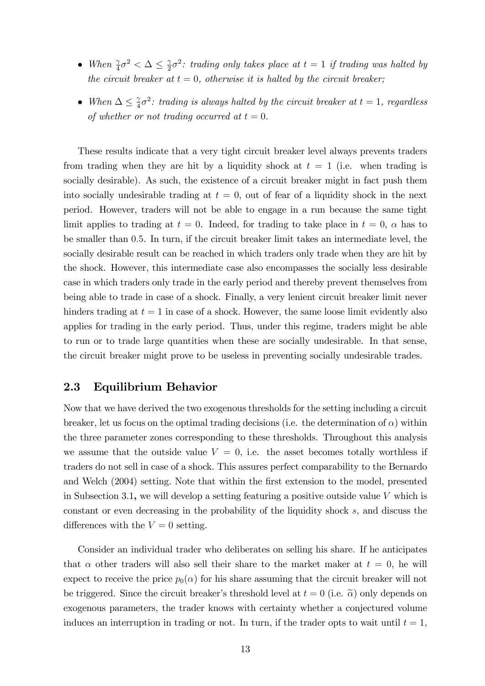- When  $\frac{\gamma}{4}\sigma^2 < \Delta \leq \frac{\gamma}{2}$  $\frac{\gamma}{2}\sigma^2$ : trading only takes place at  $t=1$  if trading was halted by the circuit breaker at  $t = 0$ , otherwise it is halted by the circuit breaker;
- When  $\Delta \leq \frac{\gamma}{4}$  $\frac{\gamma}{4}\sigma^2$ : trading is always halted by the circuit breaker at  $t=1$ , regardless of whether or not trading occurred at  $t = 0$ .

These results indicate that a very tight circuit breaker level always prevents traders from trading when they are hit by a liquidity shock at  $t = 1$  (i.e. when trading is socially desirable). As such, the existence of a circuit breaker might in fact push them into socially undesirable trading at  $t = 0$ , out of fear of a liquidity shock in the next period. However, traders will not be able to engage in a run because the same tight limit applies to trading at  $t = 0$ . Indeed, for trading to take place in  $t = 0$ ,  $\alpha$  has to be smaller than 0:5. In turn, if the circuit breaker limit takes an intermediate level, the socially desirable result can be reached in which traders only trade when they are hit by the shock. However, this intermediate case also encompasses the socially less desirable case in which traders only trade in the early period and thereby prevent themselves from being able to trade in case of a shock. Finally, a very lenient circuit breaker limit never hinders trading at  $t = 1$  in case of a shock. However, the same loose limit evidently also applies for trading in the early period. Thus, under this regime, traders might be able to run or to trade large quantities when these are socially undesirable. In that sense, the circuit breaker might prove to be useless in preventing socially undesirable trades.

### 2.3 Equilibrium Behavior

Now that we have derived the two exogenous thresholds for the setting including a circuit breaker, let us focus on the optimal trading decisions (i.e. the determination of  $\alpha$ ) within the three parameter zones corresponding to these thresholds. Throughout this analysis we assume that the outside value  $V = 0$ , i.e. the asset becomes totally worthless if traders do not sell in case of a shock. This assures perfect comparability to the Bernardo and Welch (2004) setting. Note that within the first extension to the model, presented in Subsection 3.1, we will develop a setting featuring a positive outside value  $V$  which is constant or even decreasing in the probability of the liquidity shock s, and discuss the differences with the  $V = 0$  setting.

Consider an individual trader who deliberates on selling his share. If he anticipates that  $\alpha$  other traders will also sell their share to the market maker at  $t = 0$ , he will expect to receive the price  $p_0(\alpha)$  for his share assuming that the circuit breaker will not be triggered. Since the circuit breaker's threshold level at  $t = 0$  (i.e.  $\tilde{\alpha}$ ) only depends on exogenous parameters, the trader knows with certainty whether a conjectured volume induces an interruption in trading or not. In turn, if the trader opts to wait until  $t = 1$ ,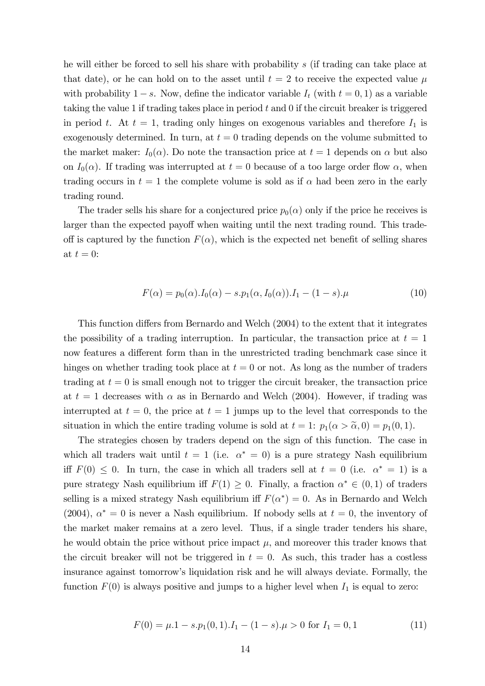he will either be forced to sell his share with probability s (if trading can take place at that date), or he can hold on to the asset until  $t = 2$  to receive the expected value  $\mu$ with probability  $1 - s$ . Now, define the indicator variable  $I_t$  (with  $t = 0, 1$ ) as a variable taking the value 1 if trading takes place in period  $t$  and  $0$  if the circuit breaker is triggered in period t. At  $t = 1$ , trading only hinges on exogenous variables and therefore  $I_1$  is exogenously determined. In turn, at  $t = 0$  trading depends on the volume submitted to the market maker:  $I_0(\alpha)$ . Do note the transaction price at  $t = 1$  depends on  $\alpha$  but also on  $I_0(\alpha)$ . If trading was interrupted at  $t = 0$  because of a too large order flow  $\alpha$ , when trading occurs in  $t = 1$  the complete volume is sold as if  $\alpha$  had been zero in the early trading round.

The trader sells his share for a conjectured price  $p_0(\alpha)$  only if the price he receives is larger than the expected payoff when waiting until the next trading round. This tradeoff is captured by the function  $F(\alpha)$ , which is the expected net benefit of selling shares at  $t = 0$ :

$$
F(\alpha) = p_0(\alpha) \cdot I_0(\alpha) - s \cdot p_1(\alpha, I_0(\alpha)) \cdot I_1 - (1 - s) \cdot \mu \tag{10}
$$

This function differs from Bernardo and Welch (2004) to the extent that it integrates the possibility of a trading interruption. In particular, the transaction price at  $t = 1$ now features a different form than in the unrestricted trading benchmark case since it hinges on whether trading took place at  $t = 0$  or not. As long as the number of traders trading at  $t = 0$  is small enough not to trigger the circuit breaker, the transaction price at  $t = 1$  decreases with  $\alpha$  as in Bernardo and Welch (2004). However, if trading was interrupted at  $t = 0$ , the price at  $t = 1$  jumps up to the level that corresponds to the situation in which the entire trading volume is sold at  $t = 1$ :  $p_1(\alpha > \tilde{\alpha}, 0) = p_1(0, 1)$ .

The strategies chosen by traders depend on the sign of this function. The case in which all traders wait until  $t = 1$  (i.e.  $\alpha^* = 0$ ) is a pure strategy Nash equilibrium iff  $F(0) \leq 0$ . In turn, the case in which all traders sell at  $t = 0$  (i.e.  $\alpha^* = 1$ ) is a pure strategy Nash equilibrium iff  $F(1) \geq 0$ . Finally, a fraction  $\alpha^* \in (0,1)$  of traders selling is a mixed strategy Nash equilibrium iff  $F(\alpha^*) = 0$ . As in Bernardo and Welch (2004),  $\alpha^* = 0$  is never a Nash equilibrium. If nobody sells at  $t = 0$ , the inventory of the market maker remains at a zero level. Thus, if a single trader tenders his share, he would obtain the price without price impact  $\mu$ , and moreover this trader knows that the circuit breaker will not be triggered in  $t = 0$ . As such, this trader has a costless insurance against tomorrow's liquidation risk and he will always deviate. Formally, the function  $F(0)$  is always positive and jumps to a higher level when  $I_1$  is equal to zero:

$$
F(0) = \mu \cdot 1 - s \cdot p_1(0, 1) \cdot I_1 - (1 - s) \cdot \mu > 0 \text{ for } I_1 = 0, 1 \tag{11}
$$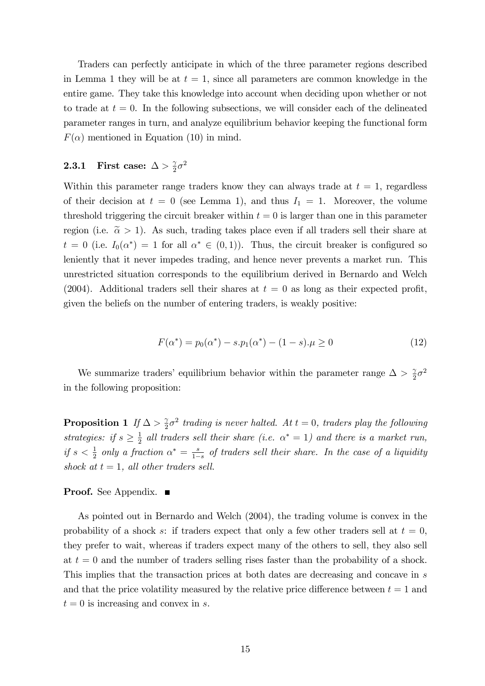Traders can perfectly anticipate in which of the three parameter regions described in Lemma 1 they will be at  $t = 1$ , since all parameters are common knowledge in the entire game. They take this knowledge into account when deciding upon whether or not to trade at  $t = 0$ . In the following subsections, we will consider each of the delineated parameter ranges in turn, and analyze equilibrium behavior keeping the functional form  $F(\alpha)$  mentioned in Equation (10) in mind.

#### 2.3.1 First case:  $\Delta > \frac{2}{3}$  $rac{\gamma}{2}\sigma^2$

Within this parameter range traders know they can always trade at  $t = 1$ , regardless of their decision at  $t = 0$  (see Lemma 1), and thus  $I_1 = 1$ . Moreover, the volume threshold triggering the circuit breaker within  $t = 0$  is larger than one in this parameter region (i.e.  $\tilde{\alpha} > 1$ ). As such, trading takes place even if all traders sell their share at  $t = 0$  (i.e.  $I_0(\alpha^*) = 1$  for all  $\alpha^* \in (0,1)$ ). Thus, the circuit breaker is configured so leniently that it never impedes trading, and hence never prevents a market run. This unrestricted situation corresponds to the equilibrium derived in Bernardo and Welch (2004). Additional traders sell their shares at  $t = 0$  as long as their expected profit, given the beliefs on the number of entering traders, is weakly positive:

$$
F(\alpha^*) = p_0(\alpha^*) - s.p_1(\alpha^*) - (1 - s)\mu \ge 0
$$
\n(12)

We summarize traders' equilibrium behavior within the parameter range  $\Delta > \frac{2}{3}$  $rac{\gamma}{2}\sigma^2$ in the following proposition:

**Proposition 1** If  $\Delta > \frac{2}{9}$  $\frac{\gamma}{2}\sigma^2$  trading is never halted. At  $t=0$ , traders play the following strategies: if  $s \geq \frac{1}{2}$  $\frac{1}{2}$  all traders sell their share (i.e.  $\alpha^* = 1$ ) and there is a market run, if  $s < \frac{1}{2}$  only a fraction  $\alpha^* = \frac{s}{1-s}$  $\frac{s}{1-s}$  of traders sell their share. In the case of a liquidity shock at  $t = 1$ , all other traders sell.

### Proof. See Appendix. ■

As pointed out in Bernardo and Welch (2004), the trading volume is convex in the probability of a shock s: if traders expect that only a few other traders sell at  $t = 0$ , they prefer to wait, whereas if traders expect many of the others to sell, they also sell at  $t = 0$  and the number of traders selling rises faster than the probability of a shock. This implies that the transaction prices at both dates are decreasing and concave in s and that the price volatility measured by the relative price difference between  $t = 1$  and  $t = 0$  is increasing and convex in s.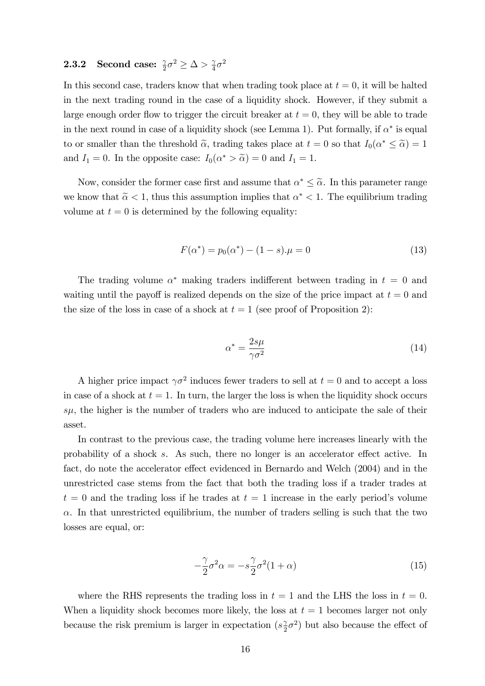#### **2.3.2** Second case:  $\frac{\gamma}{2}\sigma^2 \ge \Delta > \frac{\gamma}{4}$  $rac{\gamma}{4}\sigma^2$

In this second case, traders know that when trading took place at  $t = 0$ , it will be halted in the next trading round in the case of a liquidity shock. However, if they submit a large enough order flow to trigger the circuit breaker at  $t = 0$ , they will be able to trade in the next round in case of a liquidity shock (see Lemma 1). Put formally, if  $\alpha^*$  is equal to or smaller than the threshold  $\tilde{\alpha}$ , trading takes place at  $t = 0$  so that  $I_0(\alpha^* \leq \tilde{\alpha}) = 1$ and  $I_1 = 0$ . In the opposite case:  $I_0(\alpha^* > \tilde{\alpha}) = 0$  and  $I_1 = 1$ .

Now, consider the former case first and assume that  $\alpha^* \leq \tilde{\alpha}$ . In this parameter range we know that  $\tilde{\alpha} < 1$ , thus this assumption implies that  $\alpha^* < 1$ . The equilibrium trading volume at  $t = 0$  is determined by the following equality:

$$
F(\alpha^*) = p_0(\alpha^*) - (1 - s)\mu = 0\tag{13}
$$

The trading volume  $\alpha^*$  making traders indifferent between trading in  $t = 0$  and waiting until the payoff is realized depends on the size of the price impact at  $t = 0$  and the size of the loss in case of a shock at  $t = 1$  (see proof of Proposition 2):

$$
\alpha^* = \frac{2s\mu}{\gamma \sigma^2} \tag{14}
$$

A higher price impact  $\gamma \sigma^2$  induces fewer traders to sell at  $t = 0$  and to accept a loss in case of a shock at  $t = 1$ . In turn, the larger the loss is when the liquidity shock occurs  $s\mu$ , the higher is the number of traders who are induced to anticipate the sale of their asset.

In contrast to the previous case, the trading volume here increases linearly with the probability of a shock  $s$ . As such, there no longer is an accelerator effect active. In fact, do note the accelerator effect evidenced in Bernardo and Welch (2004) and in the unrestricted case stems from the fact that both the trading loss if a trader trades at  $t = 0$  and the trading loss if he trades at  $t = 1$  increase in the early period's volume  $\alpha$ . In that unrestricted equilibrium, the number of traders selling is such that the two losses are equal, or:

$$
-\frac{\gamma}{2}\sigma^2\alpha = -s\frac{\gamma}{2}\sigma^2(1+\alpha)
$$
\n(15)

where the RHS represents the trading loss in  $t = 1$  and the LHS the loss in  $t = 0$ . When a liquidity shock becomes more likely, the loss at  $t = 1$  becomes larger not only because the risk premium is larger in expectation  $(s<sub>2</sub>)$  $(\frac{\gamma}{2}\sigma^2)$  but also because the effect of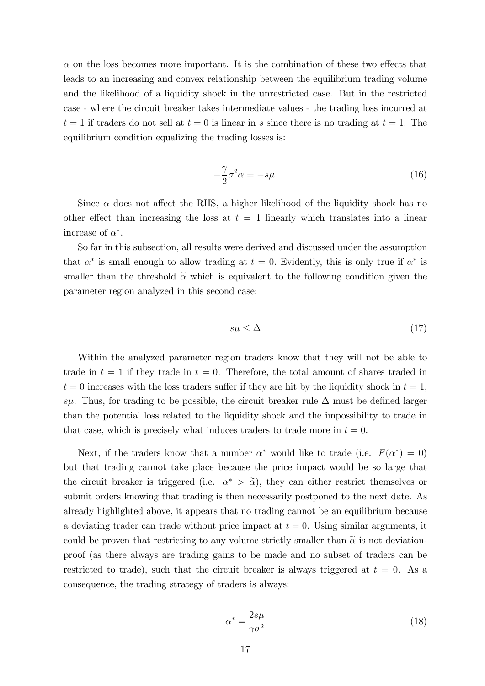$\alpha$  on the loss becomes more important. It is the combination of these two effects that leads to an increasing and convex relationship between the equilibrium trading volume and the likelihood of a liquidity shock in the unrestricted case. But in the restricted case - where the circuit breaker takes intermediate values - the trading loss incurred at  $t = 1$  if traders do not sell at  $t = 0$  is linear in s since there is no trading at  $t = 1$ . The equilibrium condition equalizing the trading losses is:

$$
-\frac{\gamma}{2}\sigma^2\alpha = -s\mu.
$$
 (16)

Since  $\alpha$  does not affect the RHS, a higher likelihood of the liquidity shock has no other effect than increasing the loss at  $t = 1$  linearly which translates into a linear increase of  $\alpha^*$ .

So far in this subsection, all results were derived and discussed under the assumption that  $\alpha^*$  is small enough to allow trading at  $t = 0$ . Evidently, this is only true if  $\alpha^*$  is smaller than the threshold  $\tilde{\alpha}$  which is equivalent to the following condition given the parameter region analyzed in this second case:

$$
s\mu \le \Delta \tag{17}
$$

Within the analyzed parameter region traders know that they will not be able to trade in  $t = 1$  if they trade in  $t = 0$ . Therefore, the total amount of shares traded in  $t = 0$  increases with the loss traders suffer if they are hit by the liquidity shock in  $t = 1$ , s. Thus, for trading to be possible, the circuit breaker rule  $\Delta$  must be defined larger than the potential loss related to the liquidity shock and the impossibility to trade in that case, which is precisely what induces traders to trade more in  $t = 0$ .

Next, if the traders know that a number  $\alpha^*$  would like to trade (i.e.  $F(\alpha^*) = 0$ ) but that trading cannot take place because the price impact would be so large that the circuit breaker is triggered (i.e.  $\alpha^* > \tilde{\alpha}$ ), they can either restrict themselves or submit orders knowing that trading is then necessarily postponed to the next date. As already highlighted above, it appears that no trading cannot be an equilibrium because a deviating trader can trade without price impact at  $t = 0$ . Using similar arguments, it could be proven that restricting to any volume strictly smaller than  $\tilde{\alpha}$  is not deviationproof (as there always are trading gains to be made and no subset of traders can be restricted to trade), such that the circuit breaker is always triggered at  $t = 0$ . As a consequence, the trading strategy of traders is always:

$$
\alpha^* = \frac{2s\mu}{\gamma \sigma^2} \tag{18}
$$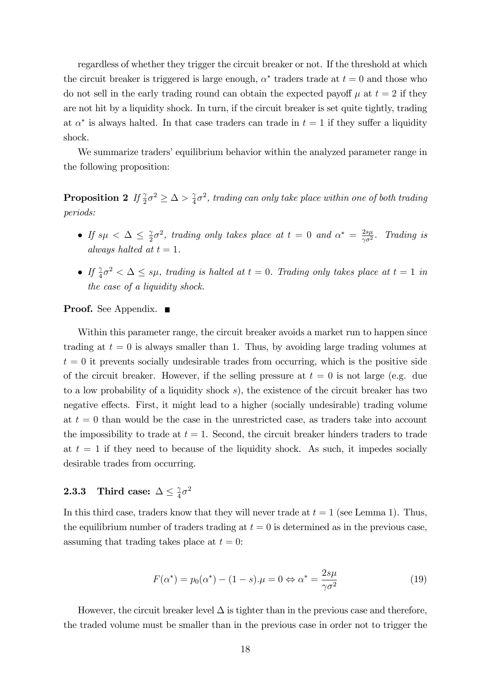regardless of whether they trigger the circuit breaker or not. If the threshold at which the circuit breaker is triggered is large enough,  $\alpha^*$  traders trade at  $t = 0$  and those who do not sell in the early trading round can obtain the expected payoff  $\mu$  at  $t = 2$  if they are not hit by a liquidity shock. In turn, if the circuit breaker is set quite tightly, trading at  $\alpha^*$  is always halted. In that case traders can trade in  $t = 1$  if they suffer a liquidity shock.

We summarize traders' equilibrium behavior within the analyzed parameter range in the following proposition:

Proposition 2  $If \frac{\gamma}{2}\sigma^2 \geq \Delta > \frac{\gamma}{4}$  $\frac{\gamma}{4}\sigma^2$ , trading can only take place within one of both trading periods:

- If  $s\mu < \Delta \leq \frac{\gamma}{2}$  $\frac{\gamma}{2}\sigma^2$ , trading only takes place at  $t=0$  and  $\alpha^*=\frac{2s\mu}{\gamma\sigma^2}$  $rac{2s\mu}{\gamma\sigma^2}$ . Trading is always halted at  $t = 1$ .
- If  $\frac{\gamma}{4}\sigma^2 < \Delta \leq s\mu$ , trading is halted at  $t = 0$ . Trading only takes place at  $t = 1$  in the case of a liquidity shock.

### **Proof.** See Appendix. ■

Within this parameter range, the circuit breaker avoids a market run to happen since trading at  $t = 0$  is always smaller than 1. Thus, by avoiding large trading volumes at  $t = 0$  it prevents socially undesirable trades from occurring, which is the positive side of the circuit breaker. However, if the selling pressure at  $t = 0$  is not large (e.g. due to a low probability of a liquidity shock s), the existence of the circuit breaker has two negative effects. First, it might lead to a higher (socially undesirable) trading volume at  $t = 0$  than would be the case in the unrestricted case, as traders take into account the impossibility to trade at  $t = 1$ . Second, the circuit breaker hinders traders to trade at  $t = 1$  if they need to because of the liquidity shock. As such, it impedes socially desirable trades from occurring.

#### **2.3.3** Third case:  $\Delta \leq \frac{\gamma}{4}$  $\frac{\gamma}{4}\sigma^2$

In this third case, traders know that they will never trade at  $t = 1$  (see Lemma 1). Thus, the equilibrium number of traders trading at  $t = 0$  is determined as in the previous case, assuming that trading takes place at  $t = 0$ :

$$
F(\alpha^*) = p_0(\alpha^*) - (1 - s)\mu = 0 \Leftrightarrow \alpha^* = \frac{2s\mu}{\gamma \sigma^2}
$$
\n(19)

However, the circuit breaker level  $\Delta$  is tighter than in the previous case and therefore, the traded volume must be smaller than in the previous case in order not to trigger the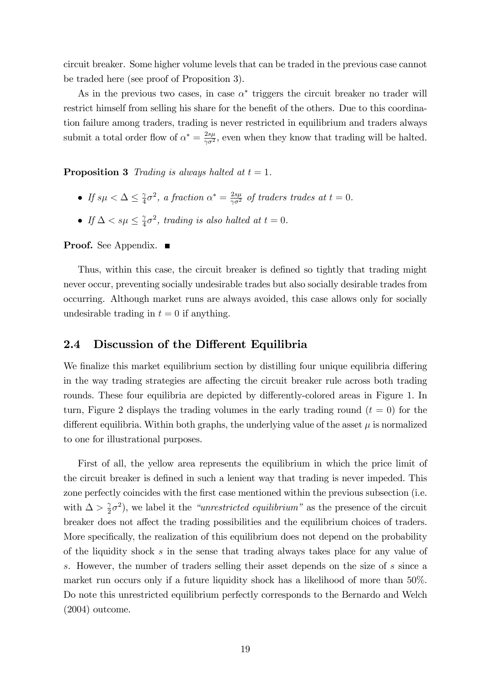circuit breaker. Some higher volume levels that can be traded in the previous case cannot be traded here (see proof of Proposition 3).

As in the previous two cases, in case  $\alpha^*$  triggers the circuit breaker no trader will restrict himself from selling his share for the benefit of the others. Due to this coordination failure among traders, trading is never restricted in equilibrium and traders always submit a total order flow of  $\alpha^* = \frac{2s\mu}{\gamma \sigma^2}$  $\frac{2s\mu}{\gamma\sigma^2}$ , even when they know that trading will be halted.

**Proposition 3** Trading is always halted at  $t = 1$ .

- If  $s\mu < \Delta \leq \frac{\gamma}{4}$  $\frac{\gamma}{4}\sigma^2$ , a fraction  $\alpha^* = \frac{2s\mu}{\gamma \sigma^2}$  of traders trades at  $t = 0$ .
- If  $\Delta < s\mu \leq \frac{\gamma}{4}$  $\frac{\gamma}{4}\sigma^2$ , trading is also halted at  $t=0$ .

**Proof.** See Appendix. ■

Thus, within this case, the circuit breaker is defined so tightly that trading might never occur, preventing socially undesirable trades but also socially desirable trades from occurring. Although market runs are always avoided, this case allows only for socially undesirable trading in  $t = 0$  if anything.

### 2.4 Discussion of the Different Equilibria

We finalize this market equilibrium section by distilling four unique equilibria differing in the way trading strategies are affecting the circuit breaker rule across both trading rounds. These four equilibria are depicted by differently-colored areas in Figure 1. In turn, Figure 2 displays the trading volumes in the early trading round  $(t = 0)$  for the different equilibria. Within both graphs, the underlying value of the asset  $\mu$  is normalized to one for illustrational purposes.

First of all, the yellow area represents the equilibrium in which the price limit of the circuit breaker is defined in such a lenient way that trading is never impeded. This zone perfectly coincides with the first case mentioned within the previous subsection (i.e. with  $\Delta > \frac{2}{2}$  $(\frac{\gamma}{2}\sigma^2)$ , we label it the *"unrestricted equilibrium*" as the presence of the circuit breaker does not affect the trading possibilities and the equilibrium choices of traders. More specifically, the realization of this equilibrium does not depend on the probability of the liquidity shock s in the sense that trading always takes place for any value of s. However, the number of traders selling their asset depends on the size of s since a market run occurs only if a future liquidity shock has a likelihood of more than 50%. Do note this unrestricted equilibrium perfectly corresponds to the Bernardo and Welch (2004) outcome.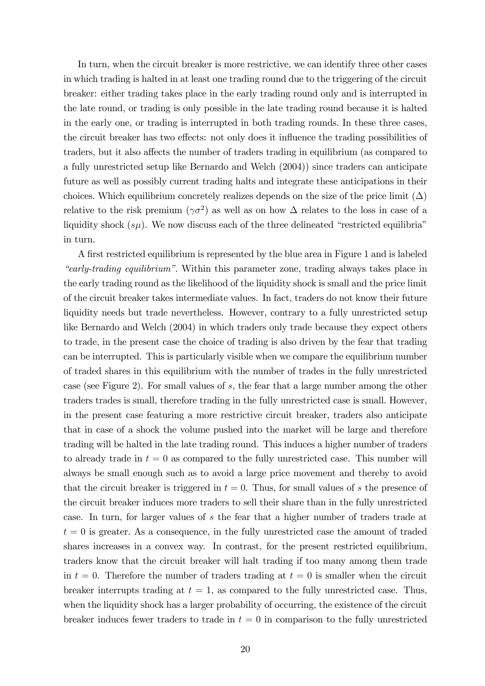In turn, when the circuit breaker is more restrictive, we can identify three other cases in which trading is halted in at least one trading round due to the triggering of the circuit breaker: either trading takes place in the early trading round only and is interrupted in the late round, or trading is only possible in the late trading round because it is halted in the early one, or trading is interrupted in both trading rounds. In these three cases, the circuit breaker has two effects: not only does it influence the trading possibilities of traders, but it also affects the number of traders trading in equilibrium (as compared to a fully unrestricted setup like Bernardo and Welch (2004)) since traders can anticipate future as well as possibly current trading halts and integrate these anticipations in their choices. Which equilibrium concretely realizes depends on the size of the price limit  $(\Delta)$ relative to the risk premium  $(\gamma \sigma^2)$  as well as on how  $\Delta$  relates to the loss in case of a liquidity shock  $(s\mu)$ . We now discuss each of the three delineated "restricted equilibria" in turn.

A Örst restricted equilibrium is represented by the blue area in Figure 1 and is labeled "early-trading equilibrium". Within this parameter zone, trading always takes place in the early trading round as the likelihood of the liquidity shock is small and the price limit of the circuit breaker takes intermediate values. In fact, traders do not know their future liquidity needs but trade nevertheless. However, contrary to a fully unrestricted setup like Bernardo and Welch (2004) in which traders only trade because they expect others to trade, in the present case the choice of trading is also driven by the fear that trading can be interrupted. This is particularly visible when we compare the equilibrium number of traded shares in this equilibrium with the number of trades in the fully unrestricted case (see Figure 2). For small values of s, the fear that a large number among the other traders trades is small, therefore trading in the fully unrestricted case is small. However, in the present case featuring a more restrictive circuit breaker, traders also anticipate that in case of a shock the volume pushed into the market will be large and therefore trading will be halted in the late trading round. This induces a higher number of traders to already trade in  $t = 0$  as compared to the fully unrestricted case. This number will always be small enough such as to avoid a large price movement and thereby to avoid that the circuit breaker is triggered in  $t = 0$ . Thus, for small values of s the presence of the circuit breaker induces more traders to sell their share than in the fully unrestricted case. In turn, for larger values of s the fear that a higher number of traders trade at  $t = 0$  is greater. As a consequence, in the fully unrestricted case the amount of traded shares increases in a convex way. In contrast, for the present restricted equilibrium, traders know that the circuit breaker will halt trading if too many among them trade in  $t = 0$ . Therefore the number of traders trading at  $t = 0$  is smaller when the circuit breaker interrupts trading at  $t = 1$ , as compared to the fully unrestricted case. Thus, when the liquidity shock has a larger probability of occurring, the existence of the circuit breaker induces fewer traders to trade in  $t = 0$  in comparison to the fully unrestricted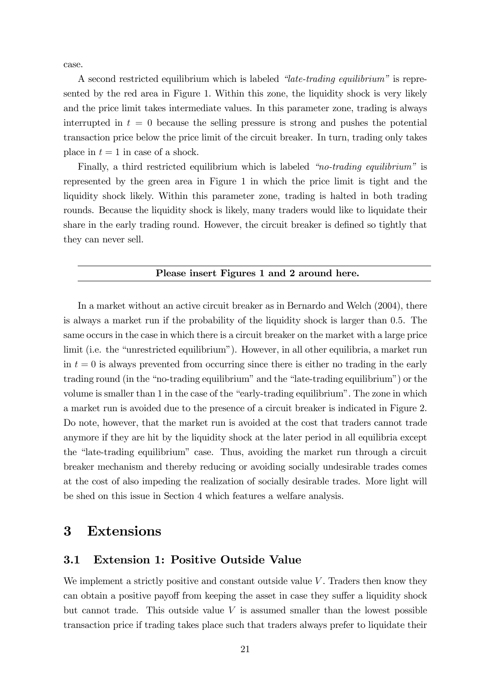case.

A second restricted equilibrium which is labeled  $\mathscr{L}$  at  $\mathscr{L}$ -trading equilibrium<sup>n</sup> is represented by the red area in Figure 1. Within this zone, the liquidity shock is very likely and the price limit takes intermediate values. In this parameter zone, trading is always interrupted in  $t = 0$  because the selling pressure is strong and pushes the potential transaction price below the price limit of the circuit breaker. In turn, trading only takes place in  $t = 1$  in case of a shock.

Finally, a third restricted equilibrium which is labeled  $\degree$ no-trading equilibrium<sup>n</sup> is represented by the green area in Figure 1 in which the price limit is tight and the liquidity shock likely. Within this parameter zone, trading is halted in both trading rounds. Because the liquidity shock is likely, many traders would like to liquidate their share in the early trading round. However, the circuit breaker is defined so tightly that they can never sell.

#### Please insert Figures 1 and 2 around here.

In a market without an active circuit breaker as in Bernardo and Welch (2004), there is always a market run if the probability of the liquidity shock is larger than 0:5. The same occurs in the case in which there is a circuit breaker on the market with a large price limit (i.e. the "unrestricted equilibrium"). However, in all other equilibria, a market run in  $t = 0$  is always prevented from occurring since there is either no trading in the early trading round (in the "no-trading equilibrium" and the "late-trading equilibrium") or the volume is smaller than 1 in the case of the "early-trading equilibrium". The zone in which a market run is avoided due to the presence of a circuit breaker is indicated in Figure 2. Do note, however, that the market run is avoided at the cost that traders cannot trade anymore if they are hit by the liquidity shock at the later period in all equilibria except the "late-trading equilibrium" case. Thus, avoiding the market run through a circuit breaker mechanism and thereby reducing or avoiding socially undesirable trades comes at the cost of also impeding the realization of socially desirable trades. More light will be shed on this issue in Section 4 which features a welfare analysis.

### 3 Extensions

### 3.1 Extension 1: Positive Outside Value

We implement a strictly positive and constant outside value  $V$ . Traders then know they can obtain a positive payoff from keeping the asset in case they suffer a liquidity shock but cannot trade. This outside value  $V$  is assumed smaller than the lowest possible transaction price if trading takes place such that traders always prefer to liquidate their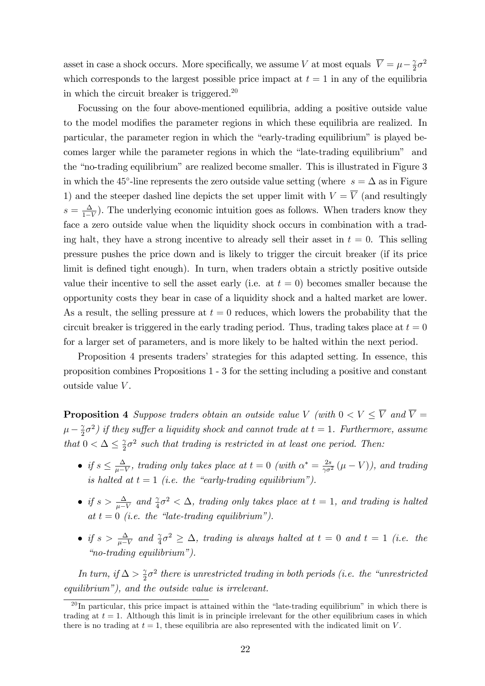asset in case a shock occurs. More specifically, we assume V at most equals  $\overline{V} = \mu - \frac{2}{2}$  $rac{\gamma}{2}\sigma^2$ which corresponds to the largest possible price impact at  $t = 1$  in any of the equilibria in which the circuit breaker is triggered.<sup>20</sup>

Focussing on the four above-mentioned equilibria, adding a positive outside value to the model modifies the parameter regions in which these equilibria are realized. In particular, the parameter region in which the "early-trading equilibrium" is played becomes larger while the parameter regions in which the "late-trading equilibrium" and the "no-trading equilibrium" are realized become smaller. This is illustrated in Figure 3 in which the 45<sup>°</sup>-line represents the zero outside value setting (where  $s = \Delta$  as in Figure 1) and the steeper dashed line depicts the set upper limit with  $V = \overline{V}$  (and resultingly  $s=\frac{\Delta}{1-\Delta}$  $\frac{\Delta}{1-V}$ ). The underlying economic intuition goes as follows. When traders know they face a zero outside value when the liquidity shock occurs in combination with a trading halt, they have a strong incentive to already sell their asset in  $t = 0$ . This selling pressure pushes the price down and is likely to trigger the circuit breaker (if its price limit is defined tight enough). In turn, when traders obtain a strictly positive outside value their incentive to sell the asset early (i.e. at  $t = 0$ ) becomes smaller because the opportunity costs they bear in case of a liquidity shock and a halted market are lower. As a result, the selling pressure at  $t = 0$  reduces, which lowers the probability that the circuit breaker is triggered in the early trading period. Thus, trading takes place at  $t = 0$ for a larger set of parameters, and is more likely to be halted within the next period.

Proposition 4 presents tradersí strategies for this adapted setting. In essence, this proposition combines Propositions 1 - 3 for the setting including a positive and constant outside value V .

**Proposition 4** Suppose traders obtain an outside value V (with  $0 < V < \overline{V}$  and  $\overline{V} =$  $\mu-\frac{\gamma}{2}$  $(\frac{\gamma}{2}\sigma^2)$  if they suffer a liquidity shock and cannot trade at  $t=1$ . Furthermore, assume that  $0 < \Delta \leq \frac{\gamma}{2}$  $\frac{\gamma}{2}\sigma^2$  such that trading is restricted in at least one period. Then:

- $\bullet$  if  $s \leq \frac{\Delta}{\mu 1}$  $\frac{\Delta}{\mu - V}$ , trading only takes place at  $t = 0$  (with  $\alpha^* = \frac{2s}{\gamma \sigma^2} (\mu - V)$ ), and trading is halted at  $t = 1$  (i.e. the "early-trading equilibrium").
- if  $s > \frac{\Delta}{\mu V}$  and  $\frac{\gamma}{4}\sigma^2 < \Delta$ , trading only takes place at  $t = 1$ , and trading is halted at  $t = 0$  (i.e. the "late-trading equilibrium").
- if  $s > \frac{\Delta}{\mu V}$  and  $\frac{\gamma}{4}\sigma^2 \geq \Delta$ , trading is always halted at  $t = 0$  and  $t = 1$  (i.e. the  $\eta$ <sup>2</sup>no-trading equilibrium").

In turn, if  $\Delta > \frac{1}{2}$  $\frac{\gamma}{2}\sigma^2$  there is unrestricted trading in both periods (i.e. the "unrestricted equilibrium"), and the outside value is irrelevant.

 $^{20}$ In particular, this price impact is attained within the "late-trading equilibrium" in which there is trading at  $t = 1$ . Although this limit is in principle irrelevant for the other equilibrium cases in which there is no trading at  $t = 1$ , these equilibria are also represented with the indicated limit on V.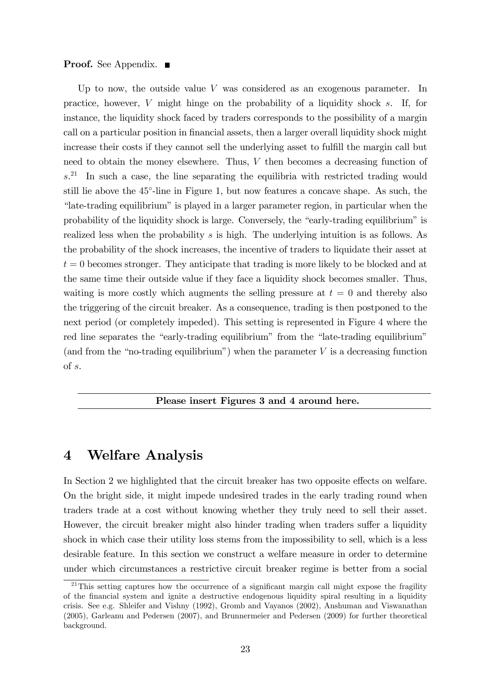### **Proof.** See Appendix. ■

Up to now, the outside value V was considered as an exogenous parameter. In practice, however, V might hinge on the probability of a liquidity shock s. If, for instance, the liquidity shock faced by traders corresponds to the possibility of a margin call on a particular position in financial assets, then a larger overall liquidity shock might increase their costs if they cannot sell the underlying asset to fulfill the margin call but need to obtain the money elsewhere. Thus, V then becomes a decreasing function of s. <sup>21</sup> In such a case, the line separating the equilibria with restricted trading would still lie above the 45<sup>°</sup>-line in Figure 1, but now features a concave shape. As such, the "late-trading equilibrium" is played in a larger parameter region, in particular when the probability of the liquidity shock is large. Conversely, the "early-trading equilibrium" is realized less when the probability s is high. The underlying intuition is as follows. As the probability of the shock increases, the incentive of traders to liquidate their asset at  $t = 0$  becomes stronger. They anticipate that trading is more likely to be blocked and at the same time their outside value if they face a liquidity shock becomes smaller. Thus, waiting is more costly which augments the selling pressure at  $t = 0$  and thereby also the triggering of the circuit breaker. As a consequence, trading is then postponed to the next period (or completely impeded). This setting is represented in Figure 4 where the red line separates the "early-trading equilibrium" from the "late-trading equilibrium" (and from the "no-trading equilibrium") when the parameter  $V$  is a decreasing function of s.

### Please insert Figures 3 and 4 around here.

### 4 Welfare Analysis

In Section 2 we highlighted that the circuit breaker has two opposite effects on welfare. On the bright side, it might impede undesired trades in the early trading round when traders trade at a cost without knowing whether they truly need to sell their asset. However, the circuit breaker might also hinder trading when traders suffer a liquidity shock in which case their utility loss stems from the impossibility to sell, which is a less desirable feature. In this section we construct a welfare measure in order to determine under which circumstances a restrictive circuit breaker regime is better from a social

 $21$ This setting captures how the occurrence of a significant margin call might expose the fragility of the Önancial system and ignite a destructive endogenous liquidity spiral resulting in a liquidity crisis. See e.g. Shleifer and Vishny (1992), Gromb and Vayanos (2002), Anshuman and Viswanathan (2005), Garleanu and Pedersen (2007), and Brunnermeier and Pedersen (2009) for further theoretical background.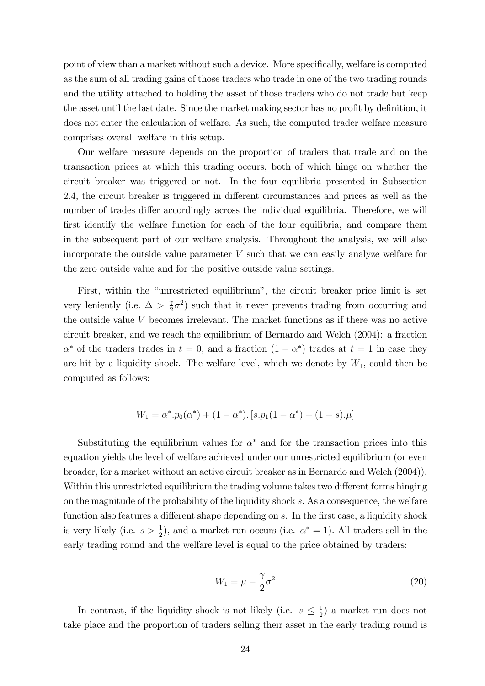point of view than a market without such a device. More specifically, welfare is computed as the sum of all trading gains of those traders who trade in one of the two trading rounds and the utility attached to holding the asset of those traders who do not trade but keep the asset until the last date. Since the market making sector has no profit by definition, it does not enter the calculation of welfare. As such, the computed trader welfare measure comprises overall welfare in this setup.

Our welfare measure depends on the proportion of traders that trade and on the transaction prices at which this trading occurs, both of which hinge on whether the circuit breaker was triggered or not. In the four equilibria presented in Subsection 2.4, the circuit breaker is triggered in different circumstances and prices as well as the number of trades differ accordingly across the individual equilibria. Therefore, we will first identify the welfare function for each of the four equilibria, and compare them in the subsequent part of our welfare analysis. Throughout the analysis, we will also incorporate the outside value parameter V such that we can easily analyze welfare for the zero outside value and for the positive outside value settings.

First, within the "unrestricted equilibrium", the circuit breaker price limit is set very leniently (i.e.  $\Delta > \frac{1}{2}$  $(\frac{\gamma}{2}\sigma^2)$  such that it never prevents trading from occurring and the outside value V becomes irrelevant. The market functions as if there was no active circuit breaker, and we reach the equilibrium of Bernardo and Welch (2004): a fraction  $\alpha^*$  of the traders trades in  $t = 0$ , and a fraction  $(1 - \alpha^*)$  trades at  $t = 1$  in case they are hit by a liquidity shock. The welfare level, which we denote by  $W_1$ , could then be computed as follows:

$$
W_1 = \alpha^* \cdot p_0(\alpha^*) + (1 - \alpha^*) \cdot [s \cdot p_1(1 - \alpha^*) + (1 - s) \cdot \mu]
$$

Substituting the equilibrium values for  $\alpha^*$  and for the transaction prices into this equation yields the level of welfare achieved under our unrestricted equilibrium (or even broader, for a market without an active circuit breaker as in Bernardo and Welch (2004)). Within this unrestricted equilibrium the trading volume takes two different forms hinging on the magnitude of the probability of the liquidity shock s. As a consequence, the welfare function also features a different shape depending on s. In the first case, a liquidity shock is very likely (i.e.  $s > \frac{1}{2}$ ), and a market run occurs (i.e.  $\alpha^* = 1$ ). All traders sell in the early trading round and the welfare level is equal to the price obtained by traders:

$$
W_1 = \mu - \frac{\gamma}{2}\sigma^2 \tag{20}
$$

In contrast, if the liquidity shock is not likely (i.e.  $s \leq \frac{1}{2}$ )  $(\frac{1}{2})$  a market run does not take place and the proportion of traders selling their asset in the early trading round is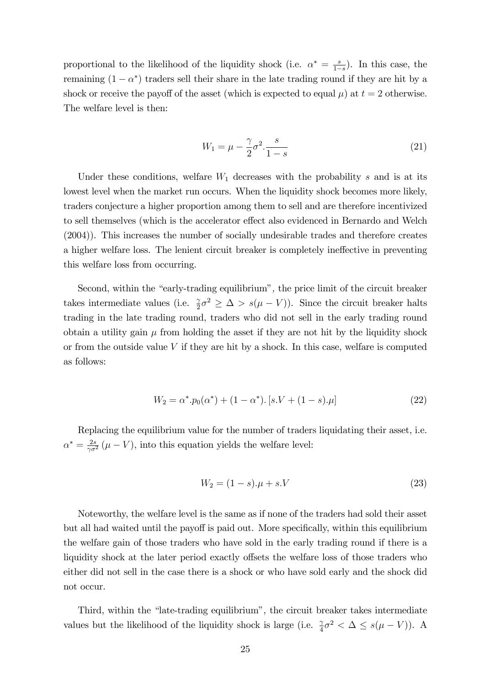proportional to the likelihood of the liquidity shock (i.e.  $\alpha^* = \frac{s}{1-s}$  $\frac{s}{1-s}$ ). In this case, the remaining  $(1 - \alpha^*)$  traders sell their share in the late trading round if they are hit by a shock or receive the payoff of the asset (which is expected to equal  $\mu$ ) at  $t = 2$  otherwise. The welfare level is then:

$$
W_1 = \mu - \frac{\gamma}{2}\sigma^2 \cdot \frac{s}{1-s}
$$
 (21)

Under these conditions, welfare  $W_1$  decreases with the probability s and is at its lowest level when the market run occurs. When the liquidity shock becomes more likely, traders conjecture a higher proportion among them to sell and are therefore incentivized to sell themselves (which is the accelerator effect also evidenced in Bernardo and Welch (2004)). This increases the number of socially undesirable trades and therefore creates a higher welfare loss. The lenient circuit breaker is completely ineffective in preventing this welfare loss from occurring.

Second, within the "early-trading equilibrium", the price limit of the circuit breaker takes intermediate values (i.e.  $\frac{\gamma}{2}\sigma^2 \geq \Delta > s(\mu - V)$ ). Since the circuit breaker halts trading in the late trading round, traders who did not sell in the early trading round obtain a utility gain  $\mu$  from holding the asset if they are not hit by the liquidity shock or from the outside value  $V$  if they are hit by a shock. In this case, welfare is computed as follows:

$$
W_2 = \alpha^* \cdot p_0(\alpha^*) + (1 - \alpha^*) \cdot [s \cdot V + (1 - s) \cdot \mu]
$$
\n(22)

Replacing the equilibrium value for the number of traders liquidating their asset, i.e.  $\alpha^* = \frac{2s}{\gamma \sigma^2} (\mu - V)$ , into this equation yields the welfare level:

$$
W_2 = (1 - s) \cdot \mu + s \cdot V \tag{23}
$$

Noteworthy, the welfare level is the same as if none of the traders had sold their asset but all had waited until the payoff is paid out. More specifically, within this equilibrium the welfare gain of those traders who have sold in the early trading round if there is a liquidity shock at the later period exactly offsets the welfare loss of those traders who either did not sell in the case there is a shock or who have sold early and the shock did not occur.

Third, within the "late-trading equilibrium", the circuit breaker takes intermediate values but the likelihood of the liquidity shock is large (i.e.  $\frac{\gamma}{4}\sigma^2 < \Delta \leq s(\mu - V)$ ). A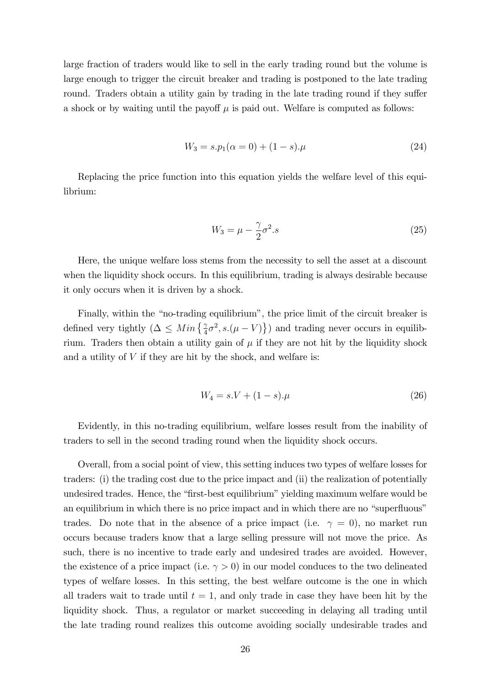large fraction of traders would like to sell in the early trading round but the volume is large enough to trigger the circuit breaker and trading is postponed to the late trading round. Traders obtain a utility gain by trading in the late trading round if they suffer a shock or by waiting until the payoff  $\mu$  is paid out. Welfare is computed as follows:

$$
W_3 = s.p_1(\alpha = 0) + (1 - s) \cdot \mu \tag{24}
$$

Replacing the price function into this equation yields the welfare level of this equilibrium:

$$
W_3 = \mu - \frac{\gamma}{2}\sigma^2 \tag{25}
$$

Here, the unique welfare loss stems from the necessity to sell the asset at a discount when the liquidity shock occurs. In this equilibrium, trading is always desirable because it only occurs when it is driven by a shock.

Finally, within the "no-trading equilibrium", the price limit of the circuit breaker is defined very tightly  $(\Delta \leq Min\left\{\frac{\gamma}{4}\sigma^2, s.(\mu - V)\right\})$  and trading never occurs in equilibrium. Traders then obtain a utility gain of  $\mu$  if they are not hit by the liquidity shock and a utility of  $V$  if they are hit by the shock, and welfare is:

$$
W_4 = s.V + (1 - s) \cdot \mu \tag{26}
$$

Evidently, in this no-trading equilibrium, welfare losses result from the inability of traders to sell in the second trading round when the liquidity shock occurs.

Overall, from a social point of view, this setting induces two types of welfare losses for traders: (i) the trading cost due to the price impact and (ii) the realization of potentially undesired trades. Hence, the "first-best equilibrium" yielding maximum welfare would be an equilibrium in which there is no price impact and in which there are no "superfluous" trades. Do note that in the absence of a price impact (i.e.  $\gamma = 0$ ), no market run occurs because traders know that a large selling pressure will not move the price. As such, there is no incentive to trade early and undesired trades are avoided. However, the existence of a price impact (i.e.  $\gamma > 0$ ) in our model conduces to the two delineated types of welfare losses. In this setting, the best welfare outcome is the one in which all traders wait to trade until  $t = 1$ , and only trade in case they have been hit by the liquidity shock. Thus, a regulator or market succeeding in delaying all trading until the late trading round realizes this outcome avoiding socially undesirable trades and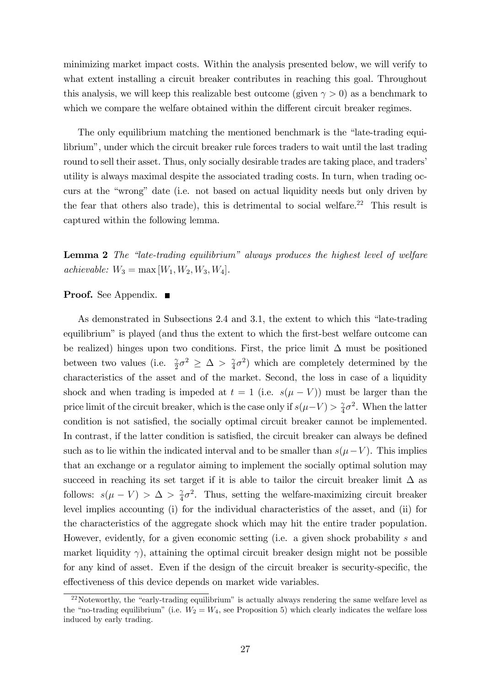minimizing market impact costs. Within the analysis presented below, we will verify to what extent installing a circuit breaker contributes in reaching this goal. Throughout this analysis, we will keep this realizable best outcome (given  $\gamma > 0$ ) as a benchmark to which we compare the welfare obtained within the different circuit breaker regimes.

The only equilibrium matching the mentioned benchmark is the "late-trading equilibrium", under which the circuit breaker rule forces traders to wait until the last trading round to sell their asset. Thus, only socially desirable trades are taking place, and traders' utility is always maximal despite the associated trading costs. In turn, when trading occurs at the "wrong" date (i.e. not based on actual liquidity needs but only driven by the fear that others also trade), this is detrimental to social welfare.<sup>22</sup> This result is captured within the following lemma.

**Lemma 2** The "late-trading equilibrium" always produces the highest level of welfare achievable:  $W_3 = \max[W_1, W_2, W_3, W_4].$ 

### **Proof.** See Appendix. ■

As demonstrated in Subsections 2.4 and 3.1, the extent to which this "late-trading" equilibrium" is played (and thus the extent to which the first-best welfare outcome can be realized) hinges upon two conditions. First, the price limit  $\Delta$  must be positioned between two values (i.e.  $\frac{\gamma}{2}\sigma^2 \geq \Delta > \frac{\gamma}{4}$  $(\frac{\gamma}{4}\sigma^2)$  which are completely determined by the characteristics of the asset and of the market. Second, the loss in case of a liquidity shock and when trading is impeded at  $t = 1$  (i.e.  $s(\mu - V)$ ) must be larger than the price limit of the circuit breaker, which is the case only if  $s(\mu - V) > \frac{2}{4}$  $rac{\gamma}{4}\sigma^2$ . When the latter condition is not satisfied, the socially optimal circuit breaker cannot be implemented. In contrast, if the latter condition is satisfied, the circuit breaker can always be defined such as to lie within the indicated interval and to be smaller than  $s(\mu - V)$ . This implies that an exchange or a regulator aiming to implement the socially optimal solution may succeed in reaching its set target if it is able to tailor the circuit breaker limit  $\Delta$  as follows:  $s(\mu - V) > \Delta > \frac{2}{4}$  $\frac{\gamma}{4}\sigma^2$ . Thus, setting the welfare-maximizing circuit breaker level implies accounting (i) for the individual characteristics of the asset, and (ii) for the characteristics of the aggregate shock which may hit the entire trader population. However, evidently, for a given economic setting (i.e. a given shock probability s and market liquidity  $\gamma$ , attaining the optimal circuit breaker design might not be possible for any kind of asset. Even if the design of the circuit breaker is security-specific, the effectiveness of this device depends on market wide variables.

 $22$ Noteworthy, the "early-trading equilibrium" is actually always rendering the same welfare level as the "no-trading equilibrium" (i.e.  $W_2 = W_4$ , see Proposition 5) which clearly indicates the welfare loss induced by early trading.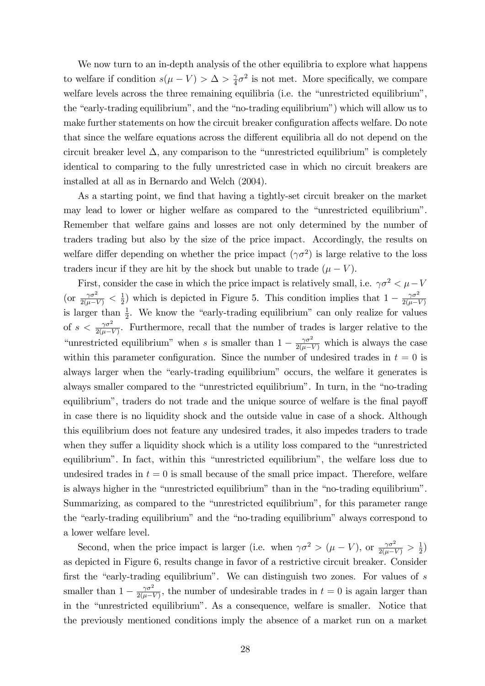We now turn to an in-depth analysis of the other equilibria to explore what happens to welfare if condition  $s(\mu - V) > \Delta > \frac{2}{4}$  $\frac{\gamma}{4}\sigma^2$  is not met. More specifically, we compare welfare levels across the three remaining equilibria (i.e. the "unrestricted equilibrium", the "early-trading equilibrium", and the "no-trading equilibrium") which will allow us to make further statements on how the circuit breaker configuration affects welfare. Do note that since the welfare equations across the different equilibria all do not depend on the circuit breaker level  $\Delta$ , any comparison to the "unrestricted equilibrium" is completely identical to comparing to the fully unrestricted case in which no circuit breakers are installed at all as in Bernardo and Welch (2004).

As a starting point, we find that having a tightly-set circuit breaker on the market may lead to lower or higher welfare as compared to the "unrestricted equilibrium". Remember that welfare gains and losses are not only determined by the number of traders trading but also by the size of the price impact. Accordingly, the results on welfare differ depending on whether the price impact  $(\gamma \sigma^2)$  is large relative to the loss traders incur if they are hit by the shock but unable to trade  $(\mu - V)$ .

First, consider the case in which the price impact is relatively small, i.e.  $\gamma \sigma^2 < \mu - V$ (or  $\frac{\gamma \sigma^2}{2(\mu - V)} < \frac{1}{2}$  $\frac{1}{2}$ ) which is depicted in Figure 5. This condition implies that  $1 - \frac{\gamma \sigma^2}{2(\mu - 1)}$  $2(\mu - V)$ is larger than  $\frac{1}{2}$ . We know the "early-trading equilibrium" can only realize for values of  $s < \frac{\gamma \sigma^2}{2(\mu - V)}$ . Furthermore, recall that the number of trades is larger relative to the "unrestricted equilibrium" when s is smaller than  $1 - \frac{\gamma \sigma^2}{2(\mu - V)}$  which is always the case within this parameter configuration. Since the number of undesired trades in  $t = 0$  is always larger when the "early-trading equilibrium" occurs, the welfare it generates is always smaller compared to the "unrestricted equilibrium". In turn, in the "no-trading equilibrium", traders do not trade and the unique source of welfare is the final payoff in case there is no liquidity shock and the outside value in case of a shock. Although this equilibrium does not feature any undesired trades, it also impedes traders to trade when they suffer a liquidity shock which is a utility loss compared to the "unrestricted" equilibrium". In fact, within this "unrestricted equilibrium", the welfare loss due to undesired trades in  $t = 0$  is small because of the small price impact. Therefore, welfare is always higher in the "unrestricted equilibrium" than in the "no-trading equilibrium". Summarizing, as compared to the "unrestricted equilibrium", for this parameter range the "early-trading equilibrium" and the "no-trading equilibrium" always correspond to a lower welfare level.

Second, when the price impact is larger (i.e. when  $\gamma \sigma^2 > (\mu - V)$ , or  $\frac{\gamma \sigma^2}{2(\mu - V)} > \frac{1}{2}$  $\frac{1}{2})$ as depicted in Figure 6, results change in favor of a restrictive circuit breaker. Consider first the "early-trading equilibrium". We can distinguish two zones. For values of  $s$ smaller than  $1 - \frac{\gamma \sigma^2}{2(\mu - 1)}$  $\frac{\gamma \sigma^2}{2(\mu - V)}$ , the number of undesirable trades in  $t = 0$  is again larger than in the "unrestricted equilibrium". As a consequence, welfare is smaller. Notice that the previously mentioned conditions imply the absence of a market run on a market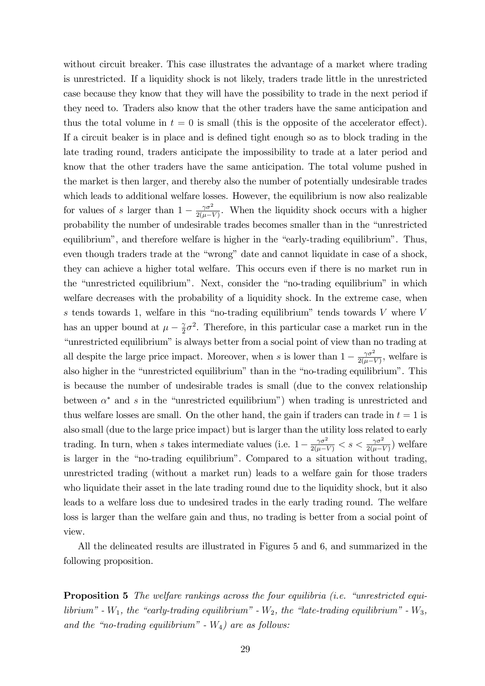without circuit breaker. This case illustrates the advantage of a market where trading is unrestricted. If a liquidity shock is not likely, traders trade little in the unrestricted case because they know that they will have the possibility to trade in the next period if they need to. Traders also know that the other traders have the same anticipation and thus the total volume in  $t = 0$  is small (this is the opposite of the accelerator effect). If a circuit beaker is in place and is defined tight enough so as to block trading in the late trading round, traders anticipate the impossibility to trade at a later period and know that the other traders have the same anticipation. The total volume pushed in the market is then larger, and thereby also the number of potentially undesirable trades which leads to additional welfare losses. However, the equilibrium is now also realizable for values of s larger than  $1 - \frac{\gamma \sigma^2}{2(\mu - 1)}$  $\frac{\gamma \sigma^2}{2(\mu - V)}$ . When the liquidity shock occurs with a higher probability the number of undesirable trades becomes smaller than in the "unrestricted equilibrium", and therefore welfare is higher in the "early-trading equilibrium". Thus, even though traders trade at the "wrong" date and cannot liquidate in case of a shock, they can achieve a higher total welfare. This occurs even if there is no market run in the "unrestricted equilibrium". Next, consider the "no-trading equilibrium" in which welfare decreases with the probability of a liquidity shock. In the extreme case, when s tends towards 1, welfare in this "no-trading equilibrium" tends towards  $V$  where  $V$ has an upper bound at  $\mu - \frac{\gamma}{2}$  $\frac{\gamma}{2}\sigma^2$ . Therefore, in this particular case a market run in the "unrestricted equilibrium" is always better from a social point of view than no trading at all despite the large price impact. Moreover, when s is lower than  $1 - \frac{\gamma \sigma^2}{2(\mu - 1)}$  $\frac{\gamma \sigma^2}{2(\mu - V)}$ , welfare is also higher in the "unrestricted equilibrium" than in the "no-trading equilibrium". This is because the number of undesirable trades is small (due to the convex relationship between  $\alpha^*$  and s in the "unrestricted equilibrium") when trading is unrestricted and thus welfare losses are small. On the other hand, the gain if traders can trade in  $t = 1$  is also small (due to the large price impact) but is larger than the utility loss related to early trading. In turn, when s takes intermediate values (i.e.  $1 - \frac{\gamma \sigma^2}{2(\mu - V)} < s < \frac{\gamma \sigma^2}{2(\mu - V)}$ ) welfare is larger in the "no-trading equilibrium". Compared to a situation without trading, unrestricted trading (without a market run) leads to a welfare gain for those traders who liquidate their asset in the late trading round due to the liquidity shock, but it also leads to a welfare loss due to undesired trades in the early trading round. The welfare loss is larger than the welfare gain and thus, no trading is better from a social point of view.

All the delineated results are illustrated in Figures 5 and 6, and summarized in the following proposition.

**Proposition 5** The welfare rankings across the four equilibria (i.e. "unrestricted equilibrium" -  $W_1$ , the "early-trading equilibrium" -  $W_2$ , the "late-trading equilibrium" -  $W_3$ , and the "no-trading equilibrium" -  $W_4$ ) are as follows: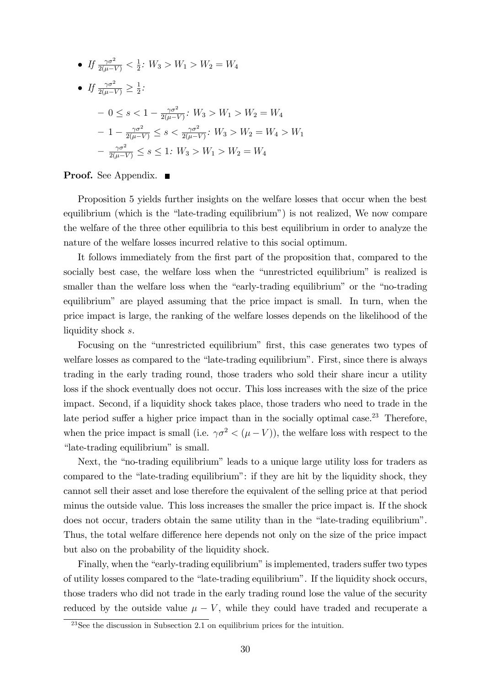• 
$$
If \frac{\gamma \sigma^2}{2(\mu - V)} < \frac{1}{2}: W_3 > W_1 > W_2 = W_4
$$
  
\n• 
$$
If \frac{\gamma \sigma^2}{2(\mu - V)} \ge \frac{1}{2}:
$$
  
\n
$$
-0 \le s < 1 - \frac{\gamma \sigma^2}{2(\mu - V)}: W_3 > W_1 > W_2 = W_4
$$
  
\n
$$
-1 - \frac{\gamma \sigma^2}{2(\mu - V)} \le s < \frac{\gamma \sigma^2}{2(\mu - V)}: W_3 > W_2 = W_4 > W_1
$$
  
\n
$$
- \frac{\gamma \sigma^2}{2(\mu - V)} \le s \le 1: W_3 > W_1 > W_2 = W_4
$$

**Proof.** See Appendix. ■

Proposition 5 yields further insights on the welfare losses that occur when the best equilibrium (which is the "late-trading equilibrium") is not realized, We now compare the welfare of the three other equilibria to this best equilibrium in order to analyze the nature of the welfare losses incurred relative to this social optimum.

It follows immediately from the first part of the proposition that, compared to the socially best case, the welfare loss when the "unrestricted equilibrium" is realized is smaller than the welfare loss when the "early-trading equilibrium" or the "no-trading" equilibriumî are played assuming that the price impact is small. In turn, when the price impact is large, the ranking of the welfare losses depends on the likelihood of the liquidity shock s.

Focusing on the "unrestricted equilibrium" first, this case generates two types of welfare losses as compared to the "late-trading equilibrium". First, since there is always trading in the early trading round, those traders who sold their share incur a utility loss if the shock eventually does not occur. This loss increases with the size of the price impact. Second, if a liquidity shock takes place, those traders who need to trade in the late period suffer a higher price impact than in the socially optimal case.<sup>23</sup> Therefore, when the price impact is small (i.e.  $\gamma \sigma^2 < (\mu - V)$ ), the welfare loss with respect to the "late-trading equilibrium" is small.

Next, the "no-trading equilibrium" leads to a unique large utility loss for traders as compared to the "late-trading equilibrium": if they are hit by the liquidity shock, they cannot sell their asset and lose therefore the equivalent of the selling price at that period minus the outside value. This loss increases the smaller the price impact is. If the shock does not occur, traders obtain the same utility than in the "late-trading equilibrium". Thus, the total welfare difference here depends not only on the size of the price impact but also on the probability of the liquidity shock.

Finally, when the "early-trading equilibrium" is implemented, traders suffer two types of utility losses compared to the "late-trading equilibrium". If the liquidity shock occurs, those traders who did not trade in the early trading round lose the value of the security reduced by the outside value  $\mu - V$ , while they could have traded and recuperate a

 $^{23}$ See the discussion in Subsection 2.1 on equilibrium prices for the intuition.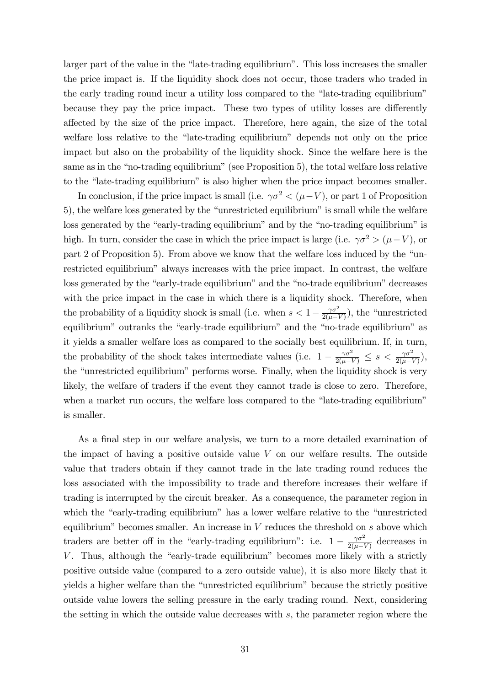larger part of the value in the "late-trading equilibrium". This loss increases the smaller the price impact is. If the liquidity shock does not occur, those traders who traded in the early trading round incur a utility loss compared to the "late-trading equilibrium" because they pay the price impact. These two types of utility losses are differently a§ected by the size of the price impact. Therefore, here again, the size of the total welfare loss relative to the "late-trading equilibrium" depends not only on the price impact but also on the probability of the liquidity shock. Since the welfare here is the same as in the "no-trading equilibrium" (see Proposition 5), the total welfare loss relative to the "late-trading equilibrium" is also higher when the price impact becomes smaller.

In conclusion, if the price impact is small (i.e.  $\gamma \sigma^2 < (\mu - V)$ , or part 1 of Proposition 5), the welfare loss generated by the "unrestricted equilibrium" is small while the welfare loss generated by the "early-trading equilibrium" and by the "no-trading equilibrium" is high. In turn, consider the case in which the price impact is large (i.e.  $\gamma \sigma^2 > (\mu - V)$ , or part  $2$  of Proposition 5). From above we know that the welfare loss induced by the "unrestricted equilibrium" always increases with the price impact. In contrast, the welfare loss generated by the "early-trade equilibrium" and the "no-trade equilibrium" decreases with the price impact in the case in which there is a liquidity shock. Therefore, when the probability of a liquidity shock is small (i.e. when  $s < 1 - \frac{\gamma \sigma^2}{2(\mu - 1)}$  $\frac{\gamma \sigma^2}{2(\mu - V)}$ , the "unrestricted" equilibrium" outranks the "early-trade equilibrium" and the "no-trade equilibrium" as it yields a smaller welfare loss as compared to the socially best equilibrium. If, in turn, the probability of the shock takes intermediate values (i.e.  $1 - \frac{\gamma \sigma^2}{2(\mu - V)} \leq s < \frac{\gamma \sigma^2}{2(\mu - V)}$ ), the "unrestricted equilibrium" performs worse. Finally, when the liquidity shock is very likely, the welfare of traders if the event they cannot trade is close to zero. Therefore, when a market run occurs, the welfare loss compared to the "late-trading equilibrium" is smaller.

As a final step in our welfare analysis, we turn to a more detailed examination of the impact of having a positive outside value  $V$  on our welfare results. The outside value that traders obtain if they cannot trade in the late trading round reduces the loss associated with the impossibility to trade and therefore increases their welfare if trading is interrupted by the circuit breaker. As a consequence, the parameter region in which the "early-trading equilibrium" has a lower welfare relative to the "unrestricted" equilibrium" becomes smaller. An increase in  $V$  reduces the threshold on  $s$  above which traders are better off in the "early-trading equilibrium": i.e.  $1 - \frac{\gamma \sigma^2}{2(\mu - 1)}$  $\frac{\gamma \sigma^2}{2(\mu - V)}$  decreases in  $V$ . Thus, although the "early-trade equilibrium" becomes more likely with a strictly positive outside value (compared to a zero outside value), it is also more likely that it yields a higher welfare than the "unrestricted equilibrium" because the strictly positive outside value lowers the selling pressure in the early trading round. Next, considering the setting in which the outside value decreases with s, the parameter region where the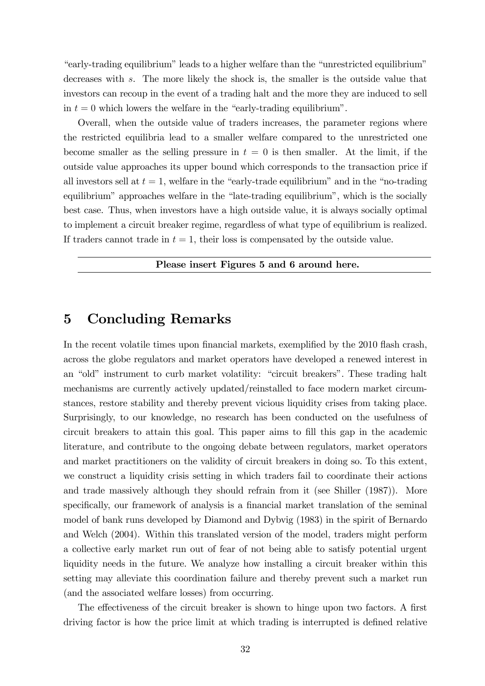"early-trading equilibrium" leads to a higher welfare than the "unrestricted equilibrium" decreases with s. The more likely the shock is, the smaller is the outside value that investors can recoup in the event of a trading halt and the more they are induced to sell in  $t = 0$  which lowers the welfare in the "early-trading equilibrium".

Overall, when the outside value of traders increases, the parameter regions where the restricted equilibria lead to a smaller welfare compared to the unrestricted one become smaller as the selling pressure in  $t = 0$  is then smaller. At the limit, if the outside value approaches its upper bound which corresponds to the transaction price if all investors sell at  $t = 1$ , welfare in the "early-trade equilibrium" and in the "no-trading" equilibrium" approaches welfare in the "late-trading equilibrium", which is the socially best case. Thus, when investors have a high outside value, it is always socially optimal to implement a circuit breaker regime, regardless of what type of equilibrium is realized. If traders cannot trade in  $t = 1$ , their loss is compensated by the outside value.

### Please insert Figures 5 and 6 around here.

### 5 Concluding Remarks

In the recent volatile times upon financial markets, exemplified by the 2010 flash crash, across the globe regulators and market operators have developed a renewed interest in an "old" instrument to curb market volatility: "circuit breakers". These trading halt mechanisms are currently actively updated/reinstalled to face modern market circumstances, restore stability and thereby prevent vicious liquidity crises from taking place. Surprisingly, to our knowledge, no research has been conducted on the usefulness of circuit breakers to attain this goal. This paper aims to fill this gap in the academic literature, and contribute to the ongoing debate between regulators, market operators and market practitioners on the validity of circuit breakers in doing so. To this extent, we construct a liquidity crisis setting in which traders fail to coordinate their actions and trade massively although they should refrain from it (see Shiller (1987)). More specifically, our framework of analysis is a financial market translation of the seminal model of bank runs developed by Diamond and Dybvig (1983) in the spirit of Bernardo and Welch (2004). Within this translated version of the model, traders might perform a collective early market run out of fear of not being able to satisfy potential urgent liquidity needs in the future. We analyze how installing a circuit breaker within this setting may alleviate this coordination failure and thereby prevent such a market run (and the associated welfare losses) from occurring.

The effectiveness of the circuit breaker is shown to hinge upon two factors. A first driving factor is how the price limit at which trading is interrupted is defined relative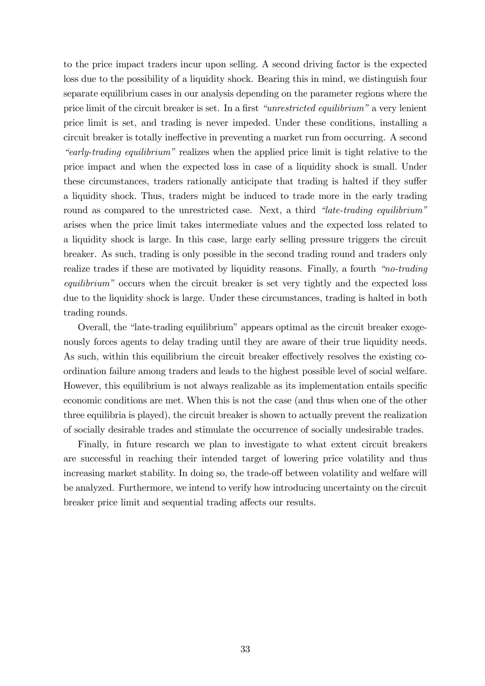to the price impact traders incur upon selling. A second driving factor is the expected loss due to the possibility of a liquidity shock. Bearing this in mind, we distinguish four separate equilibrium cases in our analysis depending on the parameter regions where the price limit of the circuit breaker is set. In a first *"unrestricted equilibrium*" a very lenient price limit is set, and trading is never impeded. Under these conditions, installing a circuit breaker is totally ineffective in preventing a market run from occurring. A second *early-trading equilibrium*" realizes when the applied price limit is tight relative to the price impact and when the expected loss in case of a liquidity shock is small. Under these circumstances, traders rationally anticipate that trading is halted if they suffer a liquidity shock. Thus, traders might be induced to trade more in the early trading round as compared to the unrestricted case. Next, a third "late-trading equilibrium" arises when the price limit takes intermediate values and the expected loss related to a liquidity shock is large. In this case, large early selling pressure triggers the circuit breaker. As such, trading is only possible in the second trading round and traders only realize trades if these are motivated by liquidity reasons. Finally, a fourth  $\emph{``no-trading}$ equilibrium" occurs when the circuit breaker is set very tightly and the expected loss due to the liquidity shock is large. Under these circumstances, trading is halted in both trading rounds.

Overall, the "late-trading equilibrium" appears optimal as the circuit breaker exogenously forces agents to delay trading until they are aware of their true liquidity needs. As such, within this equilibrium the circuit breaker effectively resolves the existing coordination failure among traders and leads to the highest possible level of social welfare. However, this equilibrium is not always realizable as its implementation entails specific economic conditions are met. When this is not the case (and thus when one of the other three equilibria is played), the circuit breaker is shown to actually prevent the realization of socially desirable trades and stimulate the occurrence of socially undesirable trades.

Finally, in future research we plan to investigate to what extent circuit breakers are successful in reaching their intended target of lowering price volatility and thus increasing market stability. In doing so, the trade-off between volatility and welfare will be analyzed. Furthermore, we intend to verify how introducing uncertainty on the circuit breaker price limit and sequential trading affects our results.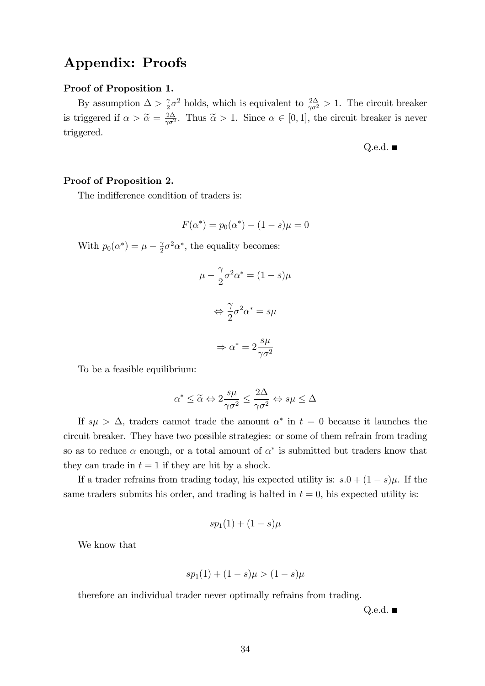## Appendix: Proofs

### Proof of Proposition 1.

By assumption  $\Delta > \frac{2}{3}$  $\frac{\gamma}{2}\sigma^2$  holds, which is equivalent to  $\frac{2\Delta}{\gamma \sigma^2} > 1$ . The circuit breaker is triggered if  $\alpha > \tilde{\alpha} = \frac{2\Delta}{\gamma \sigma^2}$  $\frac{2\Delta}{\gamma \sigma^2}$ . Thus  $\tilde{\alpha} > 1$ . Since  $\alpha \in [0, 1]$ , the circuit breaker is never triggered.

Q.e.d.  $\blacksquare$ 

### Proof of Proposition 2.

The indifference condition of traders is:

$$
F(\alpha^*) = p_0(\alpha^*) - (1 - s)\mu = 0
$$

With  $p_0(\alpha^*) = \mu - \frac{\gamma}{2}$  $\frac{\gamma}{2}\sigma^2\alpha^*$ , the equality becomes:

$$
\mu - \frac{\gamma}{2}\sigma^2 \alpha^* = (1 - s)\mu
$$

$$
\Leftrightarrow \frac{\gamma}{2}\sigma^2 \alpha^* = s\mu
$$

$$
\Rightarrow \alpha^* = 2\frac{s\mu}{\gamma \sigma^2}
$$

To be a feasible equilibrium:

$$
\alpha^* \leq \widetilde{\alpha} \Leftrightarrow 2 \frac{s\mu}{\gamma \sigma^2} \leq \frac{2\Delta}{\gamma \sigma^2} \Leftrightarrow s\mu \leq \Delta
$$

If  $s\mu > \Delta$ , traders cannot trade the amount  $\alpha^*$  in  $t = 0$  because it launches the circuit breaker. They have two possible strategies: or some of them refrain from trading so as to reduce  $\alpha$  enough, or a total amount of  $\alpha^*$  is submitted but traders know that they can trade in  $t = 1$  if they are hit by a shock.

If a trader refrains from trading today, his expected utility is:  $s.0 + (1 - s)\mu$ . If the same traders submits his order, and trading is halted in  $t = 0$ , his expected utility is:

$$
sp_1(1)+(1-s)\mu
$$

We know that

$$
sp_1(1) + (1 - s)\mu > (1 - s)\mu
$$

therefore an individual trader never optimally refrains from trading.

Q.e.d.  $\blacksquare$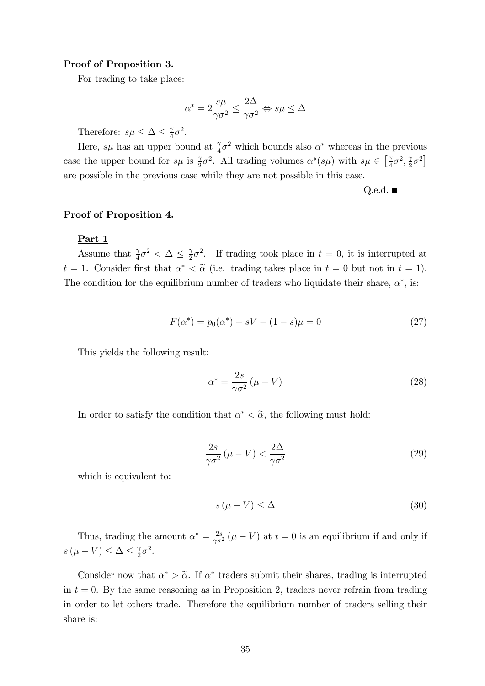### Proof of Proposition 3.

For trading to take place:

$$
\alpha^* = 2\frac{s\mu}{\gamma\sigma^2} \le \frac{2\Delta}{\gamma\sigma^2} \Leftrightarrow s\mu \le \Delta
$$

Therefore:  $s\mu \leq \Delta \leq \frac{\gamma}{4}$  $\frac{\gamma}{4}\sigma^2$ .

Here, s $\mu$  has an upper bound at  $\frac{\gamma}{4}\sigma^2$  which bounds also  $\alpha^*$  whereas in the previous case the upper bound for  $s\mu$  is  $\frac{\gamma}{2}\sigma^2$ . All trading volumes  $\alpha^*(s\mu)$  with  $s\mu \in \left[\frac{\gamma}{4}\right]$  $\frac{\gamma}{4}\sigma^2, \frac{\gamma}{2}$  $\frac{\gamma}{2}\sigma^2$ are possible in the previous case while they are not possible in this case.

Q.e.d.  $\blacksquare$ 

#### Proof of Proposition 4.

### Part 1

Assume that  $\frac{\gamma}{4}\sigma^2 < \Delta \leq \frac{\gamma}{2}$  $\frac{\gamma}{2}\sigma^2$ . If trading took place in  $t=0$ , it is interrupted at  $t = 1$ . Consider first that  $\alpha^* < \tilde{\alpha}$  (i.e. trading takes place in  $t = 0$  but not in  $t = 1$ ). The condition for the equilibrium number of traders who liquidate their share,  $\alpha^*$ , is:

$$
F(\alpha^*) = p_0(\alpha^*) - sV - (1 - s)\mu = 0 \tag{27}
$$

This yields the following result:

$$
\alpha^* = \frac{2s}{\gamma \sigma^2} (\mu - V) \tag{28}
$$

In order to satisfy the condition that  $\alpha^* < \tilde{\alpha}$ , the following must hold:

$$
\frac{2s}{\gamma \sigma^2} (\mu - V) < \frac{2\Delta}{\gamma \sigma^2} \tag{29}
$$

which is equivalent to:

$$
s(\mu - V) \le \Delta \tag{30}
$$

Thus, trading the amount  $\alpha^* = \frac{2s}{\gamma \sigma^2} (\mu - V)$  at  $t = 0$  is an equilibrium if and only if  $s(\mu - V) \leq \Delta \leq \frac{\gamma}{2}$  $rac{\gamma}{2}\sigma^2$ .

Consider now that  $\alpha^* > \tilde{\alpha}$ . If  $\alpha^*$  traders submit their shares, trading is interrupted in  $t = 0$ . By the same reasoning as in Proposition 2, traders never refrain from trading in order to let others trade. Therefore the equilibrium number of traders selling their share is: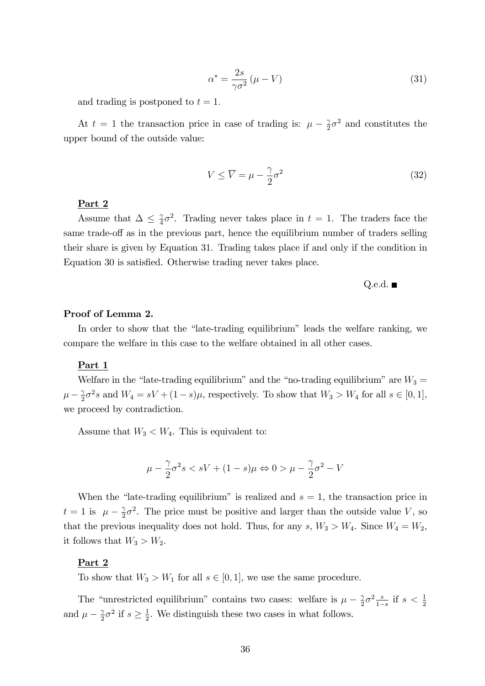$$
\alpha^* = \frac{2s}{\gamma \sigma^2} (\mu - V) \tag{31}
$$

and trading is postponed to  $t = 1$ .

At  $t = 1$  the transaction price in case of trading is:  $\mu - \frac{2}{3}$  $\frac{\gamma}{2}\sigma^2$  and constitutes the upper bound of the outside value:

$$
V \le \overline{V} = \mu - \frac{\gamma}{2}\sigma^2 \tag{32}
$$

### Part 2

Assume that  $\Delta \leq \frac{\gamma}{4}$  $\frac{\gamma}{4}\sigma^2$ . Trading never takes place in  $t = 1$ . The traders face the same trade-off as in the previous part, hence the equilibrium number of traders selling their share is given by Equation 31. Trading takes place if and only if the condition in Equation 30 is satisfied. Otherwise trading never takes place.

$$
Q.e.d. \blacksquare
$$

### Proof of Lemma 2.

In order to show that the "late-trading equilibrium" leads the welfare ranking, we compare the welfare in this case to the welfare obtained in all other cases.

### Part 1

Welfare in the "late-trading equilibrium" and the "no-trading equilibrium" are  $W_3 =$  $\mu-\frac{\gamma}{2}$  $\frac{\gamma}{2}\sigma^2 s$  and  $W_4 = sV + (1-s)\mu$ , respectively. To show that  $W_3 > W_4$  for all  $s \in [0,1]$ , we proceed by contradiction.

Assume that  $W_3 < W_4$ . This is equivalent to:

$$
\mu - \frac{\gamma}{2}\sigma^2 s < sV + (1 - s)\mu \Leftrightarrow 0 > \mu - \frac{\gamma}{2}\sigma^2 - V
$$

When the "late-trading equilibrium" is realized and  $s = 1$ , the transaction price in  $t = 1$  is  $\mu - \frac{\gamma}{2}$  $\frac{\gamma}{2}\sigma^2$ . The price must be positive and larger than the outside value V, so that the previous inequality does not hold. Thus, for any  $s, W_3 > W_4$ . Since  $W_4 = W_2$ , it follows that  $W_3 > W_2$ .

### Part 2

To show that  $W_3 > W_1$  for all  $s \in [0, 1]$ , we use the same procedure.

The "unrestricted equilibrium" contains two cases: welfare is  $\mu - \frac{2}{3}$  $\frac{\gamma}{2}\sigma^2 \frac{s}{1-\sigma^2}$  $\frac{s}{1-s}$  if  $s < \frac{1}{2}$ and  $\mu - \frac{\gamma}{2}$  $\frac{\gamma}{2}\sigma^2$  if  $s \geq \frac{1}{2}$  $\frac{1}{2}$ . We distinguish these two cases in what follows.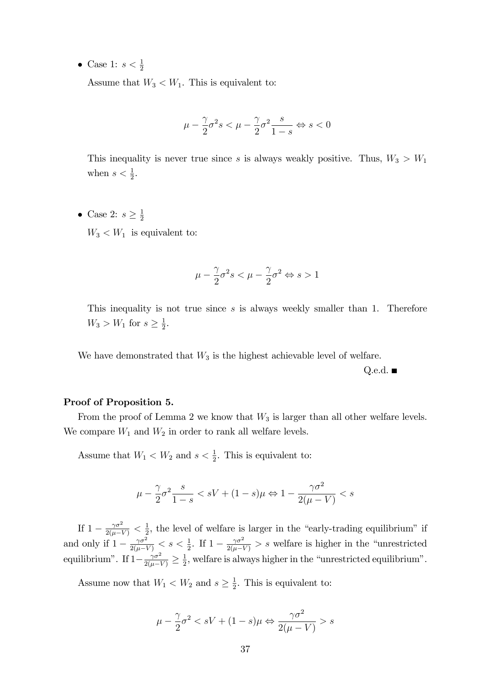• Case 1:  $s < \frac{1}{2}$ 

Assume that  $W_3 < W_1$ . This is equivalent to:

$$
\mu-\frac{\gamma}{2}\sigma^2s<\mu-\frac{\gamma}{2}\sigma^2\frac{s}{1-s} \Leftrightarrow s<0
$$

This inequality is never true since s is always weakly positive. Thus,  $W_3 > W_1$ when  $s < \frac{1}{2}$ .

• Case 2:  $s \geq \frac{1}{2}$ 2  $W_3 < W_1$  is equivalent to:

$$
\mu-\frac{\gamma}{2}\sigma^2s<\mu-\frac{\gamma}{2}\sigma^2 \Leftrightarrow s>1
$$

This inequality is not true since  $s$  is always weekly smaller than 1. Therefore  $W_3 > W_1$  for  $s \geq \frac{1}{2}$  $rac{1}{2}$ .

We have demonstrated that  $W_3$  is the highest achievable level of welfare.

Q.e.d.  $\blacksquare$ 

### Proof of Proposition 5.

From the proof of Lemma 2 we know that  $W_3$  is larger than all other welfare levels. We compare  $W_1$  and  $W_2$  in order to rank all welfare levels.

Assume that  $W_1 < W_2$  and  $s < \frac{1}{2}$ . This is equivalent to:

$$
\mu - \frac{\gamma}{2}\sigma^2 \frac{s}{1-s} < sV + (1-s)\mu \Leftrightarrow 1 - \frac{\gamma \sigma^2}{2(\mu - V)} < s
$$

If  $1 - \frac{\gamma \sigma^2}{2(\mu - V)} < \frac{1}{2}$  $\frac{1}{2}$ , the level of welfare is larger in the "early-trading equilibrium" if and only if  $1 - \frac{\gamma \sigma^2}{2(\mu - V)} < s < \frac{1}{2}$ . If  $1 - \frac{\gamma \sigma^2}{2(\mu - V)} > s$  welfare is higher in the "unrestricted" equilibrium". If  $1 - \frac{\gamma \sigma^2}{2(\mu - V)} \ge \frac{1}{2}$  $\frac{1}{2}$ , welfare is always higher in the "unrestricted equilibrium".

Assume now that  $W_1 < W_2$  and  $s \geq \frac{1}{2}$  $\frac{1}{2}$ . This is equivalent to:

$$
\mu - \frac{\gamma}{2}\sigma^2 < sV + (1 - s)\mu \Leftrightarrow \frac{\gamma\sigma^2}{2(\mu - V)} > s
$$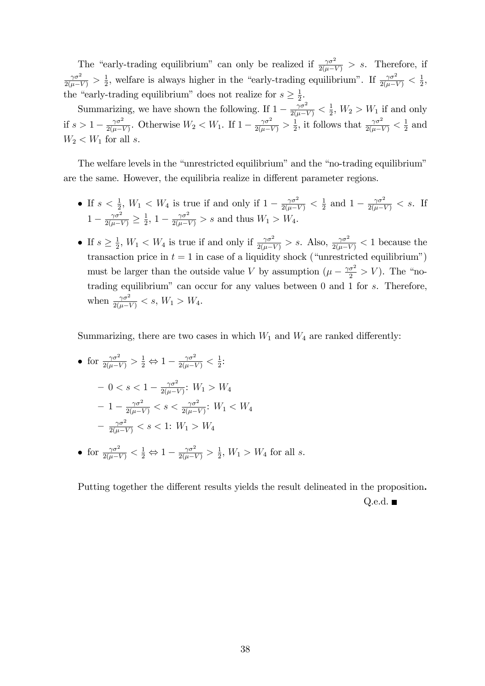The "early-trading equilibrium" can only be realized if  $\frac{\gamma \sigma^2}{2(\mu - V)} > s$ . Therefore, if  $\frac{\gamma \sigma^2}{2(\mu - V)} > \frac{1}{2}$  $\frac{1}{2}$ , welfare is always higher in the "early-trading equilibrium". If  $\frac{\gamma \sigma^2}{2(\mu - V)} < \frac{1}{2}$  $\frac{1}{2}$ , the "early-trading equilibrium" does not realize for  $s \geq \frac{1}{2}$ . 2

Summarizing, we have shown the following. If  $1 - \frac{\gamma \sigma^2}{2(\mu - V)} < \frac{1}{2}$  $\frac{1}{2}$ ,  $W_2 > W_1$  if and only if  $s > 1 - \frac{\gamma \sigma^2}{2(\mu - 1)}$  $\frac{\gamma \sigma^2}{2(\mu - V)}$ . Otherwise  $W_2 < W_1$ . If  $1 - \frac{\gamma \sigma^2}{2(\mu - V)} > \frac{1}{2}$  $\frac{1}{2}$ , it follows that  $\frac{\gamma \sigma^2}{2(\mu - V)} < \frac{1}{2}$  $rac{1}{2}$  and  $W_2 < W_1$  for all s.

The welfare levels in the "unrestricted equilibrium" and the "no-trading equilibrium" are the same. However, the equilibria realize in different parameter regions.

- If  $s < \frac{1}{2}$ ,  $W_1 < W_4$  is true if and only if  $1 \frac{\gamma \sigma^2}{2(\mu V)} < \frac{1}{2}$  $\frac{1}{2}$  and  $1 - \frac{\gamma \sigma^2}{2(\mu - V)} < s$ . If  $1-\frac{\gamma\sigma^2}{2(\mu-V)}\geq \frac{1}{2}$  $\frac{1}{2}$ , 1 –  $\frac{\gamma \sigma^2}{2(\mu - V)}$  > s and thus  $W_1$  >  $W_4$ .
- If  $s \geq \frac{1}{2}$  $\frac{1}{2}$ ,  $W_1 < W_4$  is true if and only if  $\frac{\gamma \sigma^2}{2(\mu - V)} > s$ . Also,  $\frac{\gamma \sigma^2}{2(\mu - V)} < 1$  because the transaction price in  $t = 1$  in case of a liquidity shock ("unrestricted equilibrium") must be larger than the outside value V by assumption  $(\mu - \frac{\gamma \sigma^2}{2} > V)$ . The "notrading equilibrium" can occur for any values between  $0$  and  $1$  for  $s$ . Therefore, when  $\frac{\gamma \sigma^2}{2(\mu - V)} < s, W_1 > W_4.$

Summarizing, there are two cases in which  $W_1$  and  $W_4$  are ranked differently:

• for 
$$
\frac{\gamma \sigma^2}{2(\mu - V)} > \frac{1}{2} \Leftrightarrow 1 - \frac{\gamma \sigma^2}{2(\mu - V)} < \frac{1}{2}
$$
:  
\n- 0 < s < 1 - \frac{\gamma \sigma^2}{2(\mu - V)} : W\_1 > W\_4  
\n- 1 - \frac{\gamma \sigma^2}{2(\mu - V)} < s < \frac{\gamma \sigma^2}{2(\mu - V)} : W\_1 < W\_4  
\n- \frac{\gamma \sigma^2}{2(\mu - V)} < s < 1 : W\_1 > W\_4

• for  $\frac{\gamma \sigma^2}{2(\mu - V)} < \frac{1}{2} \Leftrightarrow 1 - \frac{\gamma \sigma^2}{2(\mu - V)} > \frac{1}{2}$  $\frac{1}{2}$ ,  $W_1 > W_4$  for all s.

Putting together the different results yields the result delineated in the proposition.

Q.e.d.  $\blacksquare$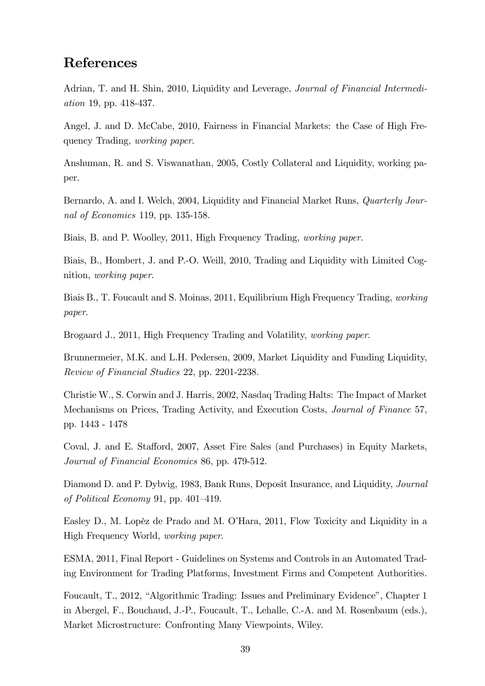## References

Adrian, T. and H. Shin, 2010, Liquidity and Leverage, Journal of Financial Intermediation 19, pp. 418-437.

Angel, J. and D. McCabe, 2010, Fairness in Financial Markets: the Case of High Frequency Trading, working paper.

Anshuman, R. and S. Viswanathan, 2005, Costly Collateral and Liquidity, working paper.

Bernardo, A. and I. Welch, 2004, Liquidity and Financial Market Runs, Quarterly Journal of Economics 119, pp. 135-158.

Biais, B. and P. Woolley, 2011, High Frequency Trading, working paper.

Biais, B., Hombert, J. and P.-O. Weill, 2010, Trading and Liquidity with Limited Cognition, working paper.

Biais B., T. Foucault and S. Moinas, 2011, Equilibrium High Frequency Trading, working paper.

Brogaard J., 2011, High Frequency Trading and Volatility, working paper.

Brunnermeier, M.K. and L.H. Pedersen, 2009, Market Liquidity and Funding Liquidity, Review of Financial Studies 22, pp. 2201-2238.

Christie W., S. Corwin and J. Harris, 2002, Nasdaq Trading Halts: The Impact of Market Mechanisms on Prices, Trading Activity, and Execution Costs, Journal of Finance 57, pp. 1443 - 1478

Coval, J. and E. Stafford, 2007, Asset Fire Sales (and Purchases) in Equity Markets, Journal of Financial Economics 86, pp. 479-512.

Diamond D. and P. Dybvig, 1983, Bank Runs, Deposit Insurance, and Liquidity, Journal of Political Economy 91, pp. 401–419.

Easley D., M. Lopèz de Prado and M. O'Hara, 2011, Flow Toxicity and Liquidity in a High Frequency World, working paper.

ESMA, 2011, Final Report - Guidelines on Systems and Controls in an Automated Trading Environment for Trading Platforms, Investment Firms and Competent Authorities.

Foucault, T., 2012, "Algorithmic Trading: Issues and Preliminary Evidence", Chapter 1 in Abergel, F., Bouchaud, J.-P., Foucault, T., Lehalle, C.-A. and M. Rosenbaum (eds.), Market Microstructure: Confronting Many Viewpoints, Wiley.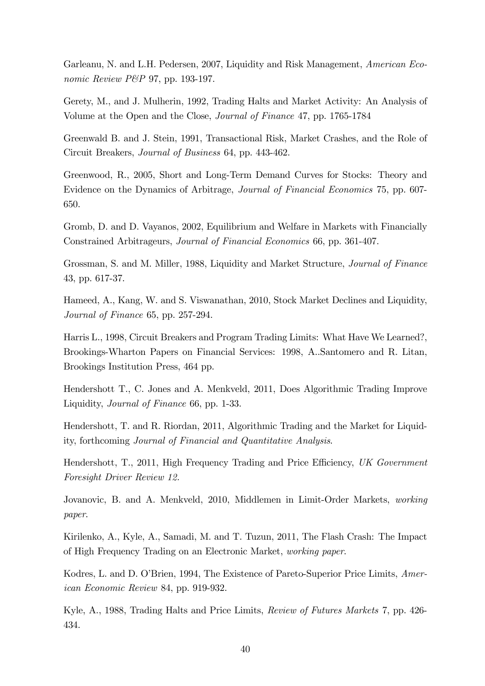Garleanu, N. and L.H. Pedersen, 2007, Liquidity and Risk Management, American Economic Review P&P 97, pp. 193-197.

Gerety, M., and J. Mulherin, 1992, Trading Halts and Market Activity: An Analysis of Volume at the Open and the Close, Journal of Finance 47, pp. 1765-1784

Greenwald B. and J. Stein, 1991, Transactional Risk, Market Crashes, and the Role of Circuit Breakers, Journal of Business 64, pp. 443-462.

Greenwood, R., 2005, Short and Long-Term Demand Curves for Stocks: Theory and Evidence on the Dynamics of Arbitrage, Journal of Financial Economics 75, pp. 607- 650.

Gromb, D. and D. Vayanos, 2002, Equilibrium and Welfare in Markets with Financially Constrained Arbitrageurs, Journal of Financial Economics 66, pp. 361-407.

Grossman, S. and M. Miller, 1988, Liquidity and Market Structure, Journal of Finance 43, pp. 617-37.

Hameed, A., Kang, W. and S. Viswanathan, 2010, Stock Market Declines and Liquidity, Journal of Finance 65, pp. 257-294.

Harris L., 1998, Circuit Breakers and Program Trading Limits: What Have We Learned?, Brookings-Wharton Papers on Financial Services: 1998, A..Santomero and R. Litan, Brookings Institution Press, 464 pp.

Hendershott T., C. Jones and A. Menkveld, 2011, Does Algorithmic Trading Improve Liquidity, Journal of Finance 66, pp. 1-33.

Hendershott, T. and R. Riordan, 2011, Algorithmic Trading and the Market for Liquidity, forthcoming Journal of Financial and Quantitative Analysis.

Hendershott, T., 2011, High Frequency Trading and Price Efficiency, UK Government Foresight Driver Review 12.

Jovanovic, B. and A. Menkveld, 2010, Middlemen in Limit-Order Markets, working paper.

Kirilenko, A., Kyle, A., Samadi, M. and T. Tuzun, 2011, The Flash Crash: The Impact of High Frequency Trading on an Electronic Market, working paper.

Kodres, L. and D. O'Brien, 1994, The Existence of Pareto-Superior Price Limits, American Economic Review 84, pp. 919-932.

Kyle, A., 1988, Trading Halts and Price Limits, Review of Futures Markets 7, pp. 426- 434.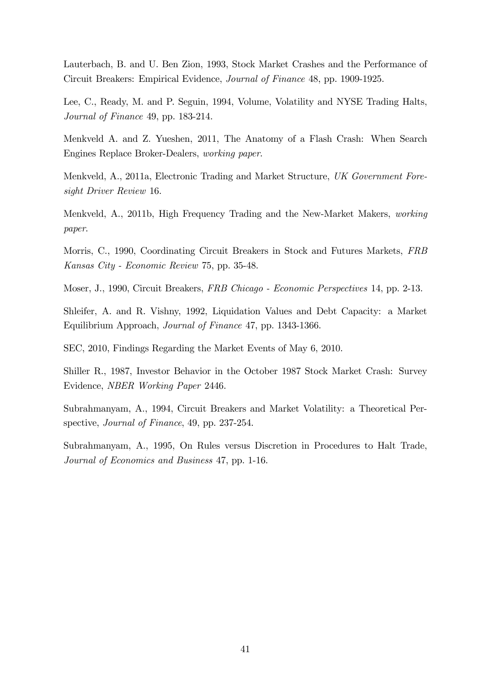Lauterbach, B. and U. Ben Zion, 1993, Stock Market Crashes and the Performance of Circuit Breakers: Empirical Evidence, Journal of Finance 48, pp. 1909-1925.

Lee, C., Ready, M. and P. Seguin, 1994, Volume, Volatility and NYSE Trading Halts, Journal of Finance 49, pp. 183-214.

Menkveld A. and Z. Yueshen, 2011, The Anatomy of a Flash Crash: When Search Engines Replace Broker-Dealers, working paper.

Menkveld, A., 2011a, Electronic Trading and Market Structure, UK Government Foresight Driver Review 16.

Menkveld, A., 2011b, High Frequency Trading and the New-Market Makers, working paper.

Morris, C., 1990, Coordinating Circuit Breakers in Stock and Futures Markets, FRB Kansas City - Economic Review 75, pp. 35-48.

Moser, J., 1990, Circuit Breakers, FRB Chicago - Economic Perspectives 14, pp. 2-13.

Shleifer, A. and R. Vishny, 1992, Liquidation Values and Debt Capacity: a Market Equilibrium Approach, Journal of Finance 47, pp. 1343-1366.

SEC, 2010, Findings Regarding the Market Events of May 6, 2010.

Shiller R., 1987, Investor Behavior in the October 1987 Stock Market Crash: Survey Evidence, NBER Working Paper 2446.

Subrahmanyam, A., 1994, Circuit Breakers and Market Volatility: a Theoretical Perspective, Journal of Finance, 49, pp. 237-254.

Subrahmanyam, A., 1995, On Rules versus Discretion in Procedures to Halt Trade, Journal of Economics and Business 47, pp. 1-16.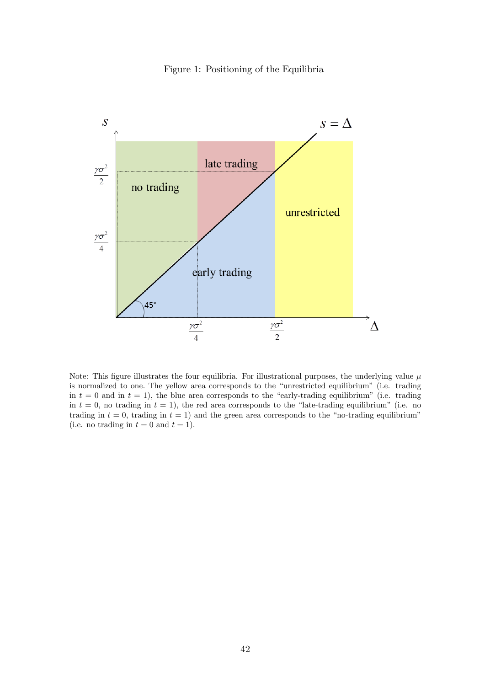



Note: This figure illustrates the four equilibria. For illustrational purposes, the underlying value  $\mu$ is normalized to one. The yellow area corresponds to the "unrestricted equilibrium" (i.e. trading in  $t = 0$  and in  $t = 1$ ), the blue area corresponds to the "early-trading equilibrium" (i.e. trading in  $t = 0$ , no trading in  $t = 1$ ), the red area corresponds to the "late-trading equilibrium" (i.e. no trading in  $t = 0$ , trading in  $t = 1$ ) and the green area corresponds to the "no-trading equilibrium" (i.e. no trading in  $t = 0$  and  $t = 1$ ).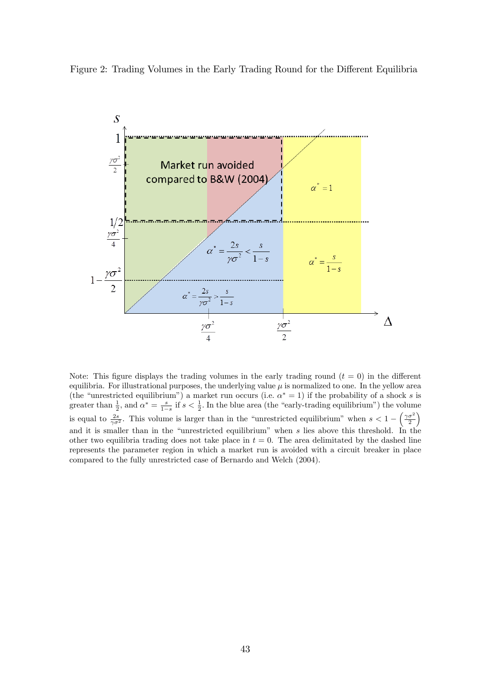



Note: This figure displays the trading volumes in the early trading round  $(t = 0)$  in the different equilibria. For illustrational purposes, the underlying value  $\mu$  is normalized to one. In the yellow area (the "unrestricted equilibrium") a market run occurs (i.e.  $\alpha^* = 1$ ) if the probability of a shock s is greater than  $\frac{1}{2}$ , and  $\alpha^* = \frac{s}{1-s}$  if  $s < \frac{1}{2}$ . In the blue area (the "early-trading equilibrium") the volume is equal to  $\frac{2s}{\gamma \sigma^2}$ . This volume is larger than in the "unrestricted equilibrium" when  $s < 1 - \left(\frac{\gamma \sigma^2}{2}\right)^2$  $\setminus$ and it is smaller than in the "unrestricted equilibrium" when  $s$  lies above this threshold. In the other two equilibria trading does not take place in  $t = 0$ . The area delimitated by the dashed line represents the parameter region in which a market run is avoided with a circuit breaker in place compared to the fully unrestricted case of Bernardo and Welch (2004).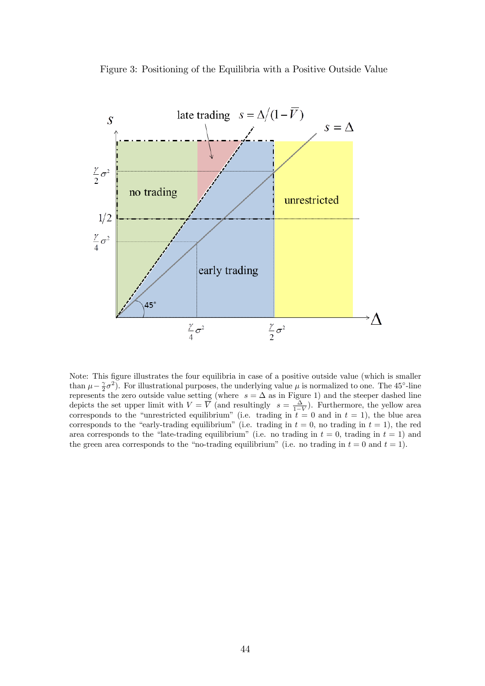Figure 3: Positioning of the Equilibria with a Positive Outside Value



Note: This figure illustrates the four equilibria in case of a positive outside value (which is smaller than  $\mu - \frac{\gamma}{2}\sigma^2$ ). For illustrational purposes, the underlying value  $\mu$  is normalized to one. The 45<sup>o</sup>-line end  $\mu - 2^{\sigma}$ . For must also has purposed, the underlying value  $\mu$  is normalized to one. The 40 -mic depicts the set upper limit with  $V = \overline{V}$  (and resultingly  $s = \frac{\Delta}{1-V}$ ). Furthermore, the yellow area corresponds to the "unrestricted equilibrium" (i.e. trading in  $t = 0$  and in  $t = 1$ ), the blue area corresponds to the "early-trading equilibrium" (i.e. trading in  $t = 0$ , no trading in  $t = 1$ ), the red area corresponds to the "late-trading equilibrium" (i.e. no trading in  $t = 0$ , trading in  $t = 1$ ) and the green area corresponds to the "no-trading equilibrium" (i.e. no trading in  $t = 0$  and  $t = 1$ ).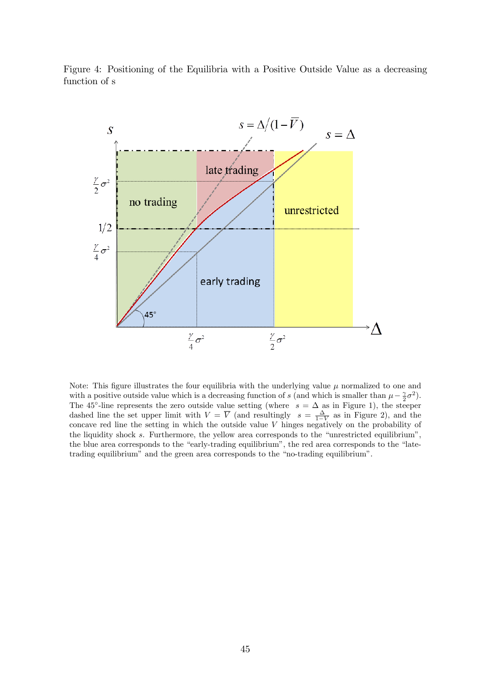



Note: This figure illustrates the four equilibria with the underlying value  $\mu$  normalized to one and with a positive outside value which is a decreasing function of s (and which is smaller than  $\mu - \frac{\gamma}{2}\sigma^2$ ). The 45<sup>o</sup>-line represents the zero outside value setting (where  $s = \Delta$  as in Figure 1), the steeper dashed line the set upper limit with  $V = \overline{V}$  (and resultingly  $s = \frac{\Delta}{1 - V}$  as in Figure 2), and the concave red line the setting in which the outside value V hinges negatively on the probability of the liquidity shock  $s$ . Furthermore, the yellow area corresponds to the "unrestricted equilibrium", the blue area corresponds to the "early-trading equilibrium", the red area corresponds to the "latetrading equilibrium" and the green area corresponds to the "no-trading equilibrium".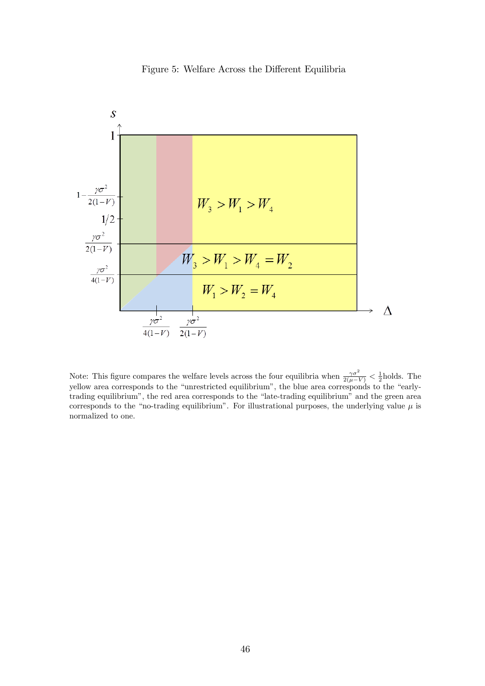



Note: This figure compares the welfare levels across the four equilibria when  $\frac{\gamma \sigma^2}{2(\mu - V)} < \frac{1}{2}$ holds. The yellow area corresponds to the "unrestricted equilibrium", the blue area corresponds to the "earlytrading equilibrium", the red area corresponds to the "late-trading equilibrium" and the green area corresponds to the "no-trading equilibrium". For illustrational purposes, the underlying value  $\mu$  is normalized to one.